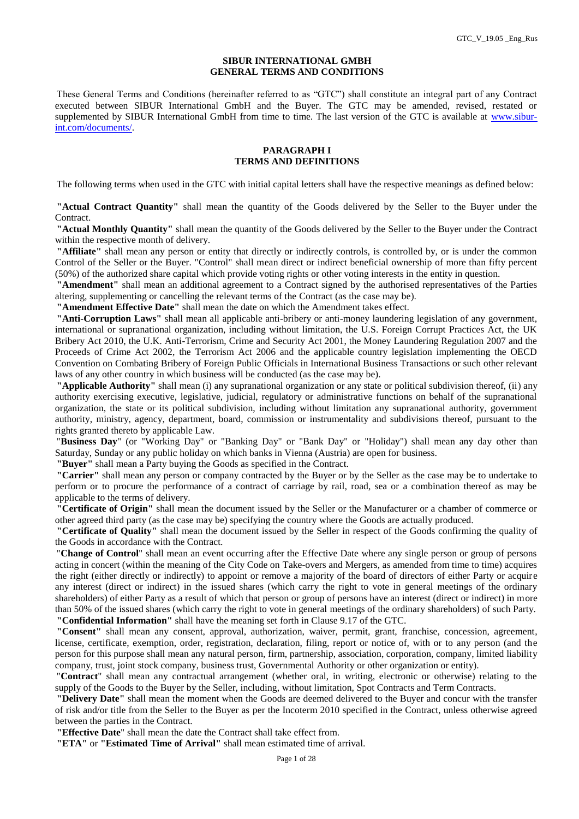#### **SIBUR INTERNATIONAL GMBH GENERAL TERMS AND CONDITIONS**

These General Terms and Conditions (hereinafter referred to as "GTC") shall constitute an integral part of any Contract executed between SIBUR International GmbH and the Buyer. The GTC may be amended, revised, restated or supplemented by SIBUR International GmbH from time to time. The last version of the GTC is available at [www.sibur](http://www.sibur-int.com/documents/)[int.com/documents/.](http://www.sibur-int.com/documents/)

### **PARAGRAPH I TERMS AND DEFINITIONS**

The following terms when used in the GTC with initial capital letters shall have the respective meanings as defined below:

**"Actual Contract Quantity"** shall mean the quantity of the Goods delivered by the Seller to the Buyer under the Contract.

**"Actual Monthly Quantity"** shall mean the quantity of the Goods delivered by the Seller to the Buyer under the Contract within the respective month of delivery.

**"Affiliate"** shall mean any person or entity that directly or indirectly controls, is controlled by, or is under the common Control of the Seller or the Buyer. "Control" shall mean direct or indirect beneficial ownership of more than fifty percent (50%) of the authorized share capital which provide voting rights or other voting interests in the entity in question.

**"Amendment"** shall mean an additional agreement to a Contract signed by the authorised representatives of the Parties altering, supplementing or cancelling the relevant terms of the Contract (as the case may be).

**"Amendment Effective Date"** shall mean the date on which the Amendment takes effect.

**"Anti-Corruption Laws"** shall mean all applicable anti-bribery or anti-money laundering legislation of any government, international or supranational organization, including without limitation, the U.S. Foreign Corrupt Practices Act, the UK Bribery Act 2010, the U.K. Anti-Terrorism, Crime and Security Act 2001, the Money Laundering Regulation 2007 and the Proceeds of Crime Act 2002, the Terrorism Act 2006 and the applicable country legislation implementing the OECD Convention on Combating Bribery of Foreign Public Officials in International Business Transactions or such other relevant laws of any other country in which business will be conducted (as the case may be).

**"Applicable Authority"** shall mean (i) any supranational organization or any state or political subdivision thereof, (ii) any authority exercising executive, legislative, judicial, regulatory or administrative functions on behalf of the supranational organization, the state or its political subdivision, including without limitation any supranational authority, government authority, ministry, agency, department, board, commission or instrumentality and subdivisions thereof, pursuant to the rights granted thereto by applicable Law.

"**Business Day**" (or "Working Day" or "Banking Day" or "Bank Day" or "Holiday") shall mean any day other than Saturday, Sunday or any public holiday on which banks in Vienna (Austria) are open for business.

**"Buyer"** shall mean a Party buying the Goods as specified in the Contract.

**"Carrier"** shall mean any person or company contracted by the Buyer or by the Seller as the case may be to undertake to perform or to procure the performance of a contract of carriage by rail, road, sea or a combination thereof as may be applicable to the terms of delivery.

**"Certificate of Origin"** shall mean the document issued by the Seller or the Manufacturer or a chamber of commerce or other agreed third party (as the case may be) specifying the country where the Goods are actually produced.

**"Certificate of Quality"** shall mean the document issued by the Seller in respect of the Goods confirming the quality of the Goods in accordance with the Contract.

"**Change of Control**" shall mean an event occurring after the Effective Date where any single person or group of persons acting in concert (within the meaning of the City Code on Take-overs and Mergers, as amended from time to time) acquires the right (either directly or indirectly) to appoint or remove a majority of the board of directors of either Party or acquire any interest (direct or indirect) in the issued shares (which carry the right to vote in general meetings of the ordinary shareholders) of either Party as a result of which that person or group of persons have an interest (direct or indirect) in more than 50% of the issued shares (which carry the right to vote in general meetings of the ordinary shareholders) of such Party. **"Confidential Information"** shall have the meaning set forth in Clause 9.17 of the GTC.

**"Consent"** shall mean any consent, approval, authorization, waiver, permit, grant, franchise, concession, agreement, license, certificate, exemption, order, registration, declaration, filing, report or notice of, with or to any person (and the person for this purpose shall mean any natural person, firm, partnership, association, corporation, company, limited liability company, trust, joint stock company, business trust, Governmental Authority or other organization or entity).

"**Contract**" shall mean any contractual arrangement (whether oral, in writing, electronic or otherwise) relating to the supply of the Goods to the Buyer by the Seller, including, without limitation, Spot Contracts and Term Contracts.

**"Delivery Date"** shall mean the moment when the Goods are deemed delivered to the Buyer and concur with the transfer of risk and/or title from the Seller to the Buyer as per the Incoterm 2010 specified in the Contract, unless otherwise agreed between the parties in the Contract.

**"Effective Date**" shall mean the date the Contract shall take effect from.

**"ETA"** or **"Estimated Time of Arrival"** shall mean estimated time of arrival.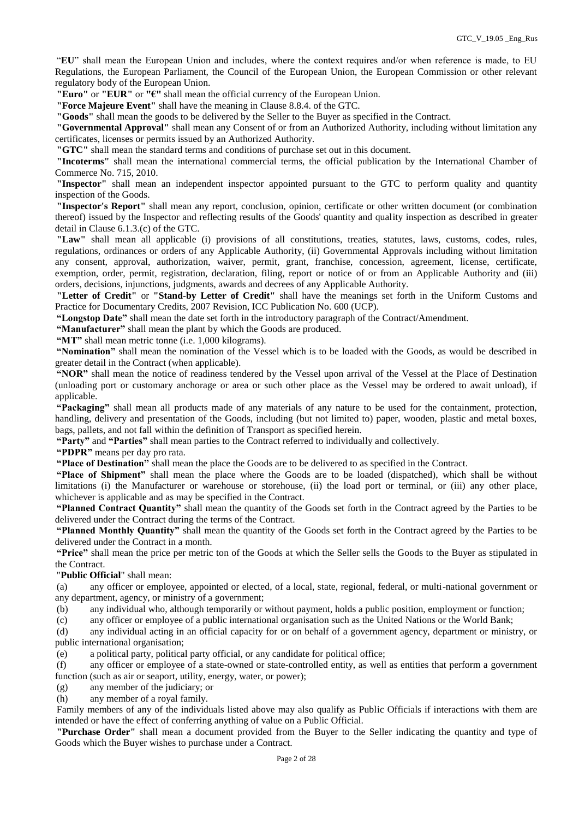"**EU**" shall mean the European Union and includes, where the context requires and/or when reference is made, to EU Regulations, the European Parliament, the Council of the European Union, the European Commission or other relevant regulatory body of the European Union.

**"Euro"** or **"EUR"** or **"€"** shall mean the official currency of the European Union.

**"Force Majeure Event"** shall have the meaning in Clause 8.8.4. of the GTC.

**"Goods"** shall mean the goods to be delivered by the Seller to the Buyer as specified in the Contract.

**"Governmental Approval"** shall mean any Consent of or from an Authorized Authority, including without limitation any certificates, licenses or permits issued by an Authorized Authority.

**"GTC"** shall mean the standard terms and conditions of purchase set out in this document.

**"Incoterms"** shall mean the international commercial terms, the official publication by the International Chamber of Commerce No. 715, 2010.

**"Inspector"** shall mean an independent inspector appointed pursuant to the GTC to perform quality and quantity inspection of the Goods.

**"Inspector's Report"** shall mean any report, conclusion, opinion, certificate or other written document (or combination thereof) issued by the Inspector and reflecting results of the Goods' quantity and quality inspection as described in greater detail in Clause 6.1.3.(c) of the GTC.

**"Law"** shall mean all applicable (i) provisions of all constitutions, treaties, statutes, laws, customs, codes, rules, regulations, ordinances or orders of any Applicable Authority, (ii) Governmental Approvals including without limitation any consent, approval, authorization, waiver, permit, grant, franchise, concession, agreement, license, certificate, exemption, order, permit, registration, declaration, filing, report or notice of or from an Applicable Authority and (iii) orders, decisions, injunctions, judgments, awards and decrees of any Applicable Authority.

**"Letter of Credit"** or **"Stand-by Letter of Credit"** shall have the meanings set forth in the Uniform Customs and Practice for Documentary Credits, 2007 Revision, ICC Publication No. 600 (UCP).

**"Longstop Date"** shall mean the date set forth in the introductory paragraph of the Contract/Amendment.

**"Manufacturer"** shall mean the plant by which the Goods are produced.

**"MT"** shall mean metric tonne (i.e. 1,000 kilograms).

**"Nomination"** shall mean the nomination of the Vessel which is to be loaded with the Goods, as would be described in greater detail in the Contract (when applicable).

**"NOR"** shall mean the notice of readiness tendered by the Vessel upon arrival of the Vessel at the Place of Destination (unloading port or customary anchorage or area or such other place as the Vessel may be ordered to await unload), if applicable.

**"Packaging"** shall mean all products made of any materials of any nature to be used for the containment, protection, handling, delivery and presentation of the Goods, including (but not limited to) paper, wooden, plastic and metal boxes, bags, pallets, and not fall within the definition of Transport as specified herein.

**"Party"** and **"Parties"** shall mean parties to the Contract referred to individually and collectively.

**"PDPR"** means per day pro rata.

**"Place of Destination"** shall mean the place the Goods are to be delivered to as specified in the Contract.

**"Place of Shipment"** shall mean the place where the Goods are to be loaded (dispatched), which shall be without limitations (i) the Manufacturer or warehouse or storehouse, (ii) the load port or terminal, or (iii) any other place, whichever is applicable and as may be specified in the Contract.

**"Planned Contract Quantity"** shall mean the quantity of the Goods set forth in the Contract agreed by the Parties to be delivered under the Contract during the terms of the Contract.

**"Planned Monthly Quantity"** shall mean the quantity of the Goods set forth in the Contract agreed by the Parties to be delivered under the Contract in a month.

**"Price"** shall mean the price per metric ton of the Goods at which the Seller sells the Goods to the Buyer as stipulated in the Contract.

"**Public Official**" shall mean:

(a) any officer or employee, appointed or elected, of a local, state, regional, federal, or multi-national government or any department, agency, or ministry of a government;

(b) any individual who, although temporarily or without payment, holds a public position, employment or function;

(c) any officer or employee of a public international organisation such as the United Nations or the World Bank;

(d) any individual acting in an official capacity for or on behalf of a government agency, department or ministry, or public international organisation;

(e) a political party, political party official, or any candidate for political office;

(f) any officer or employee of a state-owned or state-controlled entity, as well as entities that perform a government function (such as air or seaport, utility, energy, water, or power);

(g) any member of the judiciary; or

(h) any member of a royal family.

Family members of any of the individuals listed above may also qualify as Public Officials if interactions with them are intended or have the effect of conferring anything of value on a Public Official.

**"Purchase Order"** shall mean a document provided from the Buyer to the Seller indicating the quantity and type of Goods which the Buyer wishes to purchase under a Contract.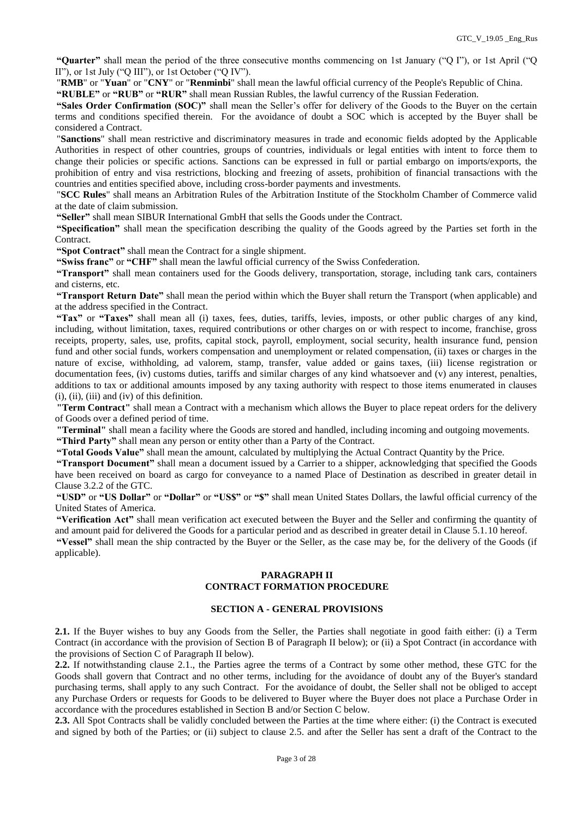**"Quarter"** shall mean the period of the three consecutive months commencing on 1st January ("Q I"), or 1st April ("Q II"), or 1st July ("Q III"), or 1st October ("Q IV").

"**RMB**" or "**Yuan**" or "**CNY**" or "**Renminbi**" shall mean the lawful official currency of the People's Republic of China.

**"RUBLE"** or **"RUB"** or **"RUR"** shall mean Russian Rubles, the lawful currency of the Russian Federation.

**"Sales Order Confirmation (SOC)"** shall mean the Seller's offer for delivery of the Goods to the Buyer on the certain terms and conditions specified therein. For the avoidance of doubt a SOC which is accepted by the Buyer shall be considered a Contract.

"**Sanctions**" shall mean restrictive and discriminatory measures in trade and economic fields adopted by the Applicable Authorities in respect of other countries, groups of countries, individuals or legal entities with intent to force them to change their policies or specific actions. Sanctions can be expressed in full or partial embargo on imports/exports, the prohibition of entry and visa restrictions, blocking and freezing of assets, prohibition of financial transactions with the countries and entities specified above, including cross-border payments and investments.

"**SCC Rules**" shall means an Arbitration Rules of the Arbitration Institute of the Stockholm Chamber of Commerce valid at the date of claim submission.

**"Seller"** shall mean SIBUR International GmbH that sells the Goods under the Contract.

**"Specification"** shall mean the specification describing the quality of the Goods agreed by the Parties set forth in the Contract.

**"Spot Contract"** shall mean the Contract for a single shipment.

**"Swiss franc"** or **"CHF"** shall mean the lawful official currency of the Swiss Confederation.

**"Transport"** shall mean containers used for the Goods delivery, transportation, storage, including tank cars, containers and cisterns, etc.

**"Transport Return Date"** shall mean the period within which the Buyer shall return the Transport (when applicable) and at the address specified in the Contract.

**"Tax"** or **"Taxes"** shall mean all (i) taxes, fees, duties, tariffs, levies, imposts, or other public charges of any kind, including, without limitation, taxes, required contributions or other charges on or with respect to income, franchise, gross receipts, property, sales, use, profits, capital stock, payroll, employment, social security, health insurance fund, pension fund and other social funds, workers compensation and unemployment or related compensation, (ii) taxes or charges in the nature of excise, withholding, ad valorem, stamp, transfer, value added or gains taxes, (iii) license registration or documentation fees, (iv) customs duties, tariffs and similar charges of any kind whatsoever and (v) any interest, penalties, additions to tax or additional amounts imposed by any taxing authority with respect to those items enumerated in clauses (i), (ii), (iii) and (iv) of this definition.

**"Term Contract"** shall mean a Contract with a mechanism which allows the Buyer to place repeat orders for the delivery of Goods over a defined period of time.

**"Terminal"** shall mean a facility where the Goods are stored and handled, including incoming and outgoing movements.

**"Third Party"** shall mean any person or entity other than a Party of the Contract.

**"Total Goods Value"** shall mean the amount, calculated by multiplying the Actual Contract Quantity by the Price.

**"Transport Document"** shall mean a document issued by a Carrier to a shipper, acknowledging that specified the Goods have been received on board as cargo for conveyance to a named Place of Destination as described in greater detail in Clause 3.2.2 of the GTC.

**"USD"** or **"US Dollar"** or **"Dollar"** or **"US\$"** or **"\$"** shall mean United States Dollars, the lawful official currency of the United States of America.

**"Verification Act"** shall mean verification act executed between the Buyer and the Seller and confirming the quantity of and amount paid for delivered the Goods for a particular period and as described in greater detail in Clause 5.1.10 hereof.

**"Vessel"** shall mean the ship contracted by the Buyer or the Seller, as the case may be, for the delivery of the Goods (if applicable).

### **PARAGRAPH II CONTRACT FORMATION PROCEDURE**

### **SECTION A - GENERAL PROVISIONS**

**2.1.** If the Buyer wishes to buy any Goods from the Seller, the Parties shall negotiate in good faith either: (i) a Term Contract (in accordance with the provision of Section B of Paragraph II below); or (ii) a Spot Contract (in accordance with the provisions of Section C of Paragraph II below).

**2.2.** If notwithstanding clause 2.1., the Parties agree the terms of a Contract by some other method, these GTC for the Goods shall govern that Contract and no other terms, including for the avoidance of doubt any of the Buyer's standard purchasing terms, shall apply to any such Contract. For the avoidance of doubt, the Seller shall not be obliged to accept any Purchase Orders or requests for Goods to be delivered to Buyer where the Buyer does not place a Purchase Order in accordance with the procedures established in Section B and/or Section C below.

**2.3.** All Spot Contracts shall be validly concluded between the Parties at the time where either: (i) the Contract is executed and signed by both of the Parties; or (ii) subject to clause 2.5. and after the Seller has sent a draft of the Contract to the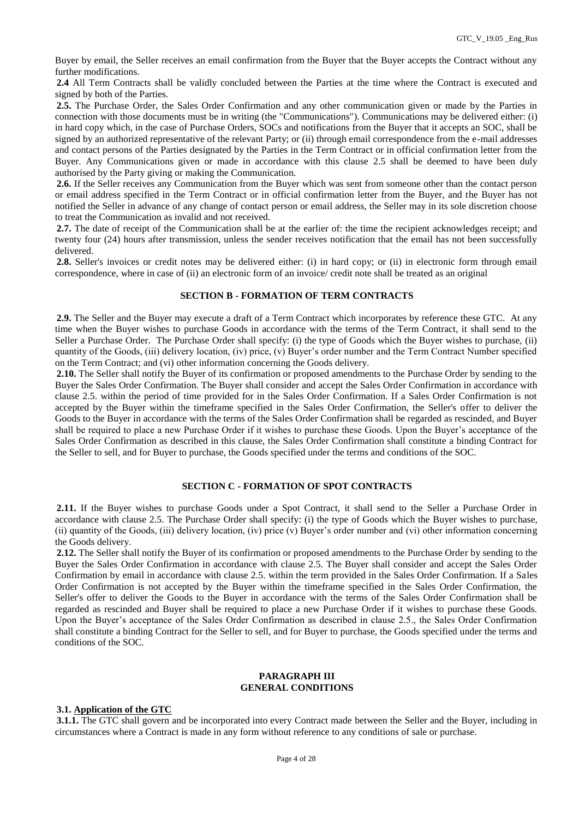Buyer by email, the Seller receives an email confirmation from the Buyer that the Buyer accepts the Contract without any further modifications.

**2.4** All Term Contracts shall be validly concluded between the Parties at the time where the Contract is executed and signed by both of the Parties.

**2.5.** The Purchase Order, the Sales Order Confirmation and any other communication given or made by the Parties in connection with those documents must be in writing (the "Communications"). Communications may be delivered either: (i) in hard copy which, in the case of Purchase Orders, SOCs and notifications from the Buyer that it accepts an SOC, shall be signed by an authorized representative of the relevant Party; or (ii) through email correspondence from the e-mail addresses and contact persons of the Parties designated by the Parties in the Term Contract or in official confirmation letter from the Buyer. Any Communications given or made in accordance with this clause 2.5 shall be deemed to have been duly authorised by the Party giving or making the Communication.

**2.6.** If the Seller receives any Communication from the Buyer which was sent from someone other than the contact person or email address specified in the Term Contract or in official confirmation letter from the Buyer, and the Buyer has not notified the Seller in advance of any change of contact person or email address, the Seller may in its sole discretion choose to treat the Communication as invalid and not received.

**2.7.** The date of receipt of the Communication shall be at the earlier of: the time the recipient acknowledges receipt; and twenty four (24) hours after transmission, unless the sender receives notification that the email has not been successfully delivered.

**2.8.** Seller's invoices or credit notes may be delivered either: (i) in hard copy; or (ii) in electronic form through email correspondence, where in case of (ii) an electronic form of an invoice/ credit note shall be treated as an original

### **SECTION B - FORMATION OF TERM CONTRACTS**

**2.9.** The Seller and the Buyer may execute a draft of a Term Contract which incorporates by reference these GTC. At any time when the Buyer wishes to purchase Goods in accordance with the terms of the Term Contract, it shall send to the Seller a Purchase Order. The Purchase Order shall specify: (i) the type of Goods which the Buyer wishes to purchase, (ii) quantity of the Goods, (iii) delivery location, (iv) price, (v) Buyer's order number and the Term Contract Number specified on the Term Contract; and (vi) other information concerning the Goods delivery.

**2.10.** The Seller shall notify the Buyer of its confirmation or proposed amendments to the Purchase Order by sending to the Buyer the Sales Order Confirmation. The Buyer shall consider and accept the Sales Order Confirmation in accordance with clause 2.5. within the period of time provided for in the Sales Order Confirmation. If a Sales Order Confirmation is not accepted by the Buyer within the timeframe specified in the Sales Order Confirmation, the Seller's offer to deliver the Goods to the Buyer in accordance with the terms of the Sales Order Confirmation shall be regarded as rescinded, and Buyer shall be required to place a new Purchase Order if it wishes to purchase these Goods. Upon the Buyer's acceptance of the Sales Order Confirmation as described in this clause, the Sales Order Confirmation shall constitute a binding Contract for the Seller to sell, and for Buyer to purchase, the Goods specified under the terms and conditions of the SOC.

### **SECTION C - FORMATION OF SPOT CONTRACTS**

**2.11.** If the Buyer wishes to purchase Goods under a Spot Contract, it shall send to the Seller a Purchase Order in accordance with clause 2.5. The Purchase Order shall specify: (i) the type of Goods which the Buyer wishes to purchase, (ii) quantity of the Goods, (iii) delivery location, (iv) price (v) Buyer's order number and (vi) other information concerning the Goods delivery.

**2.12.** The Seller shall notify the Buyer of its confirmation or proposed amendments to the Purchase Order by sending to the Buyer the Sales Order Confirmation in accordance with clause 2.5. The Buyer shall consider and accept the Sales Order Confirmation by email in accordance with clause 2.5. within the term provided in the Sales Order Confirmation. If a Sales Order Confirmation is not accepted by the Buyer within the timeframe specified in the Sales Order Confirmation, the Seller's offer to deliver the Goods to the Buyer in accordance with the terms of the Sales Order Confirmation shall be regarded as rescinded and Buyer shall be required to place a new Purchase Order if it wishes to purchase these Goods. Upon the Buyer's acceptance of the Sales Order Confirmation as described in clause 2.5., the Sales Order Confirmation shall constitute a binding Contract for the Seller to sell, and for Buyer to purchase, the Goods specified under the terms and conditions of the SOC.

#### **PARAGRAPH III GENERAL CONDITIONS**

### **3.1. Application of the GTC**

**3.1.1.** The GTC shall govern and be incorporated into every Contract made between the Seller and the Buyer, including in circumstances where a Contract is made in any form without reference to any conditions of sale or purchase.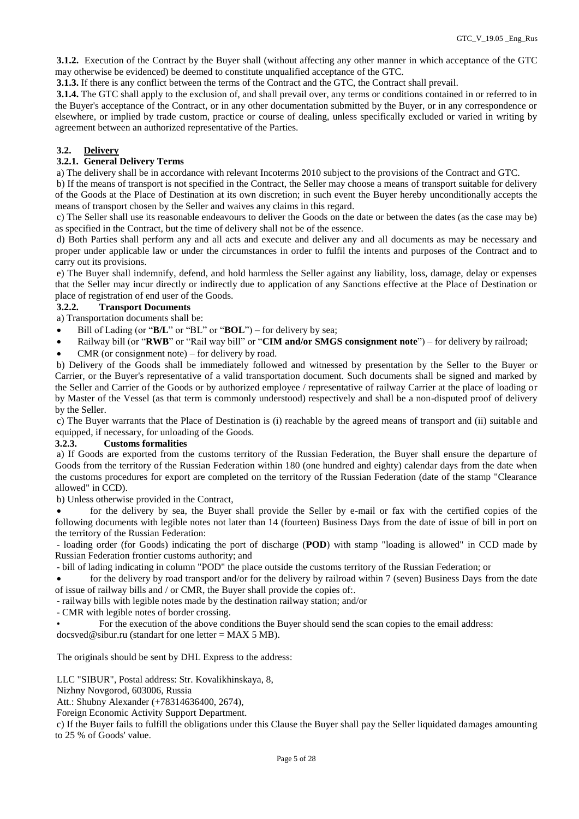**3.1.2.** Execution of the Contract by the Buyer shall (without affecting any other manner in which acceptance of the GTC may otherwise be evidenced) be deemed to constitute unqualified acceptance of the GTC.

**3.1.3.** If there is any conflict between the terms of the Contract and the GTC, the Contract shall prevail.

**3.1.4.** The GTC shall apply to the exclusion of, and shall prevail over, any terms or conditions contained in or referred to in the Buyer's acceptance of the Contract, or in any other documentation submitted by the Buyer, or in any correspondence or elsewhere, or implied by trade custom, practice or course of dealing, unless specifically excluded or varied in writing by agreement between an authorized representative of the Parties.

# **3.2. Delivery**

# **3.2.1. General Delivery Terms**

a) The delivery shall be in accordance with relevant Incoterms 2010 subject to the provisions of the Contract and GTC.

b) If the means of transport is not specified in the Contract, the Seller may choose a means of transport suitable for delivery of the Goods at the Place of Destination at its own discretion; in such event the Buyer hereby unconditionally accepts the means of transport chosen by the Seller and waives any claims in this regard.

c) The Seller shall use its reasonable endeavours to deliver the Goods on the date or between the dates (as the case may be) as specified in the Contract, but the time of delivery shall not be of the essence.

d) Both Parties shall perform any and all acts and execute and deliver any and all documents as may be necessary and proper under applicable law or under the circumstances in order to fulfil the intents and purposes of the Contract and to carry out its provisions.

e) The Buyer shall indemnify, defend, and hold harmless the Seller against any liability, loss, damage, delay or expenses that the Seller may incur directly or indirectly due to application of any Sanctions effective at the Place of Destination or place of registration of end user of the Goods.

# **3.2.2. Transport Documents**

a) Transportation documents shall be:

- Bill of Lading (or "**B/L**" or "BL" or "**BOL**") for delivery by sea;
- Railway bill (or "**RWB**" or "Rail way bill" or "**CIM and/or SMGS consignment note**") for delivery by railroad;
- CMR (or consignment note) for delivery by road.

b) Delivery of the Goods shall be immediately followed and witnessed by presentation by the Seller to the Buyer or Carrier, or the Buyer's representative of a valid transportation document. Such documents shall be signed and marked by the Seller and Carrier of the Goods or by authorized employee / representative of railway Carrier at the place of loading or by Master of the Vessel (as that term is commonly understood) respectively and shall be a non-disputed proof of delivery by the Seller.

c) The Buyer warrants that the Place of Destination is (i) reachable by the agreed means of transport and (ii) suitable and equipped, if necessary, for unloading of the Goods.

# **3.2.3. Customs formalities**

a) If Goods are exported from the customs territory of the Russian Federation, the Buyer shall ensure the departure of Goods from the territory of the Russian Federation within 180 (one hundred and eighty) calendar days from the date when the customs procedures for export are completed on the territory of the Russian Federation (date of the stamp "Clearance allowed" in CCD).

b) Unless otherwise provided in the Contract,

 for the delivery by sea, the Buyer shall provide the Seller by e-mail or fax with the certified copies of the following documents with legible notes not later than 14 (fourteen) Business Days from the date of issue of bill in port on the territory of the Russian Federation:

- loading order (for Goods) indicating the port of discharge (**POD**) with stamp "loading is allowed" in CCD made by Russian Federation frontier customs authority; and

- bill of lading indicating in column "POD" the place outside the customs territory of the Russian Federation; or

 for the delivery by road transport and/or for the delivery by railroad within 7 (seven) Business Days from the date of issue of railway bills and / or CMR, the Buyer shall provide the copies of:.

- railway bills with legible notes made by the destination railway station; and/or

- CMR with legible notes of border crossing.

• For the execution of the above conditions the Buyer should send the scan copies to the email address: docsved@sibur.ru (standart for one letter = MAX 5 MB).

The originals should be sent by DHL Express to the address:

LLC "SIBUR", Postal address: Str. Kovalikhinskaya, 8,

Nizhny Novgorod, 603006, Russia

Att.: Shubny Alexander (+78314636400, 2674),

Foreign Economic Activity Support Department.

c) If the Buyer fails to fulfill the obligations under this Clause the Buyer shall pay the Seller liquidated damages amounting to 25 % of Goods' value.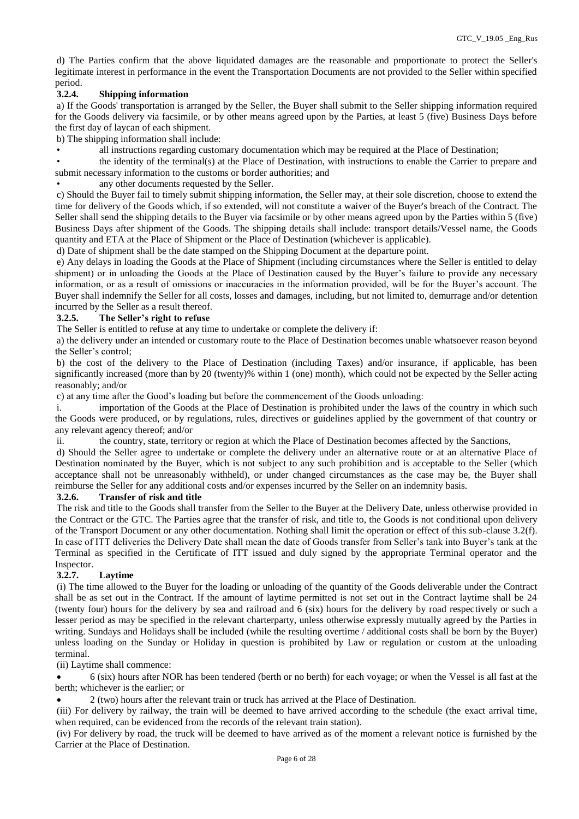d) The Parties confirm that the above liquidated damages are the reasonable and proportionate to protect the Seller's legitimate interest in performance in the event the Transportation Documents are not provided to the Seller within specified period.

# **3.2.4. Shipping information**

a) If the Goods' transportation is arranged by the Seller, the Buyer shall submit to the Seller shipping information required for the Goods delivery via facsimile, or by other means agreed upon by the Parties, at least 5 (five) Business Days before the first day of laycan of each shipment.

b) The shipping information shall include:

• all instructions regarding customary documentation which may be required at the Place of Destination;

• the identity of the terminal(s) at the Place of Destination, with instructions to enable the Carrier to prepare and submit necessary information to the customs or border authorities; and

any other documents requested by the Seller.

c) Should the Buyer fail to timely submit shipping information, the Seller may, at their sole discretion, choose to extend the time for delivery of the Goods which, if so extended, will not constitute a waiver of the Buyer's breach of the Contract. The Seller shall send the shipping details to the Buyer via facsimile or by other means agreed upon by the Parties within 5 (five) Business Days after shipment of the Goods. The shipping details shall include: transport details/Vessel name, the Goods quantity and ETA at the Place of Shipment or the Place of Destination (whichever is applicable).

d) Date of shipment shall be the date stamped on the Shipping Document at the departure point.

e) Any delays in loading the Goods at the Place of Shipment (including circumstances where the Seller is entitled to delay shipment) or in unloading the Goods at the Place of Destination caused by the Buyer's failure to provide any necessary information, or as a result of omissions or inaccuracies in the information provided, will be for the Buyer's account. The Buyer shall indemnify the Seller for all costs, losses and damages, including, but not limited to, demurrage and/or detention incurred by the Seller as a result thereof.

### **3.2.5. The Seller's right to refuse**

The Seller is entitled to refuse at any time to undertake or complete the delivery if:

a) the delivery under an intended or customary route to the Place of Destination becomes unable whatsoever reason beyond the Seller's control;

b) the cost of the delivery to the Place of Destination (including Taxes) and/or insurance, if applicable, has been significantly increased (more than by 20 (twenty)% within 1 (one) month), which could not be expected by the Seller acting reasonably; and/or

c) at any time after the Good's loading but before the commencement of the Goods unloading:

i. importation of the Goods at the Place of Destination is prohibited under the laws of the country in which such the Goods were produced, or by regulations, rules, directives or guidelines applied by the government of that country or any relevant agency thereof; and/or

ii. the country, state, territory or region at which the Place of Destination becomes affected by the Sanctions,

d) Should the Seller agree to undertake or complete the delivery under an alternative route or at an alternative Place of Destination nominated by the Buyer, which is not subject to any such prohibition and is acceptable to the Seller (which acceptance shall not be unreasonably withheld), or under changed circumstances as the case may be, the Buyer shall reimburse the Seller for any additional costs and/or expenses incurred by the Seller on an indemnity basis.

#### **3.2.6. Transfer of risk and title**

The risk and title to the Goods shall transfer from the Seller to the Buyer at the Delivery Date, unless otherwise provided in the Contract or the GTC. The Parties agree that the transfer of risk, and title to, the Goods is not conditional upon delivery of the Transport Document or any other documentation. Nothing shall limit the operation or effect of this sub-clause 3.2(f). In case of ITT deliveries the Delivery Date shall mean the date of Goods transfer from Seller's tank into Buyer's tank at the Terminal as specified in the Certificate of ITT issued and duly signed by the appropriate Terminal operator and the Inspector.

# **3.2.7. Laytime**

(i) The time allowed to the Buyer for the loading or unloading of the quantity of the Goods deliverable under the Contract shall be as set out in the Contract. If the amount of laytime permitted is not set out in the Contract laytime shall be 24 (twenty four) hours for the delivery by sea and railroad and 6 (six) hours for the delivery by road respectively or such a lesser period as may be specified in the relevant charterparty, unless otherwise expressly mutually agreed by the Parties in writing. Sundays and Holidays shall be included (while the resulting overtime / additional costs shall be born by the Buyer) unless loading on the Sunday or Holiday in question is prohibited by Law or regulation or custom at the unloading terminal.

(ii) Laytime shall commence:

 6 (six) hours after NOR has been tendered (berth or no berth) for each voyage; or when the Vessel is all fast at the berth; whichever is the earlier; or

2 (two) hours after the relevant train or truck has arrived at the Place of Destination.

(iii) For delivery by railway, the train will be deemed to have arrived according to the schedule (the exact arrival time, when required, can be evidenced from the records of the relevant train station).

(iv) For delivery by road, the truck will be deemed to have arrived as of the moment a relevant notice is furnished by the Carrier at the Place of Destination.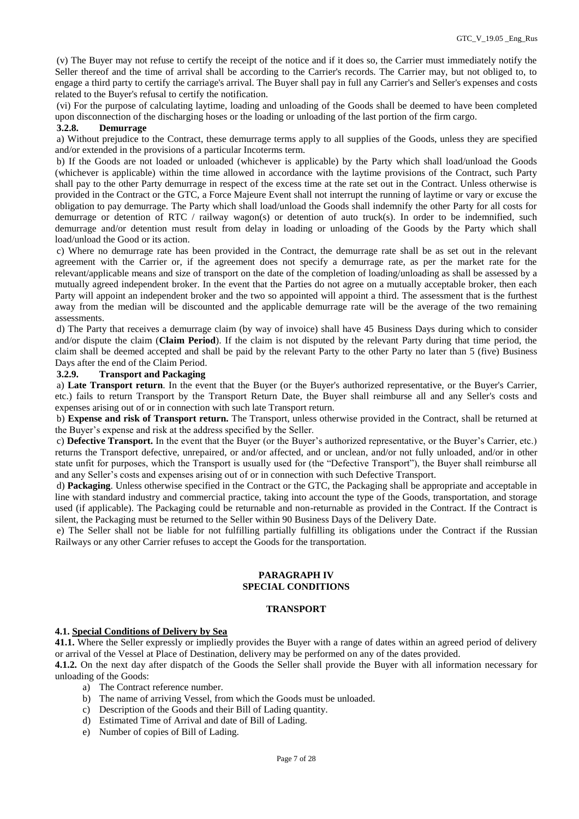(v) The Buyer may not refuse to certify the receipt of the notice and if it does so, the Carrier must immediately notify the Seller thereof and the time of arrival shall be according to the Carrier's records. The Carrier may, but not obliged to, to engage a third party to certify the carriage's arrival. The Buyer shall pay in full any Carrier's and Seller's expenses and costs related to the Buyer's refusal to certify the notification.

(vi) For the purpose of calculating laytime, loading and unloading of the Goods shall be deemed to have been completed upon disconnection of the discharging hoses or the loading or unloading of the last portion of the firm cargo.

#### **3.2.8. Demurrage**

a) Without prejudice to the Contract, these demurrage terms apply to all supplies of the Goods, unless they are specified and/or extended in the provisions of a particular Incoterms term.

b) If the Goods are not loaded or unloaded (whichever is applicable) by the Party which shall load/unload the Goods (whichever is applicable) within the time allowed in accordance with the laytime provisions of the Contract, such Party shall pay to the other Party demurrage in respect of the excess time at the rate set out in the Contract. Unless otherwise is provided in the Contract or the GTC, a Force Majeure Event shall not interrupt the running of laytime or vary or excuse the obligation to pay demurrage. The Party which shall load/unload the Goods shall indemnify the other Party for all costs for demurrage or detention of RTC / railway wagon(s) or detention of auto truck(s). In order to be indemnified, such demurrage and/or detention must result from delay in loading or unloading of the Goods by the Party which shall load/unload the Good or its action.

c) Where no demurrage rate has been provided in the Contract, the demurrage rate shall be as set out in the relevant agreement with the Carrier or, if the agreement does not specify a demurrage rate, as per the market rate for the relevant/applicable means and size of transport on the date of the completion of loading/unloading as shall be assessed by a mutually agreed independent broker. In the event that the Parties do not agree on a mutually acceptable broker, then each Party will appoint an independent broker and the two so appointed will appoint a third. The assessment that is the furthest away from the median will be discounted and the applicable demurrage rate will be the average of the two remaining assessments.

d) The Party that receives a demurrage claim (by way of invoice) shall have 45 Business Days during which to consider and/or dispute the claim (**Claim Period**). If the claim is not disputed by the relevant Party during that time period, the claim shall be deemed accepted and shall be paid by the relevant Party to the other Party no later than 5 (five) Business Days after the end of the Claim Period.

### **3.2.9. Transport and Packaging**

a) **Late Transport return**. In the event that the Buyer (or the Buyer's authorized representative, or the Buyer's Carrier, etc.) fails to return Transport by the Transport Return Date, the Buyer shall reimburse all and any Seller's costs and expenses arising out of or in connection with such late Transport return.

b) **Expense and risk of Transport return.** The Transport, unless otherwise provided in the Contract, shall be returned at the Buyer's expense and risk at the address specified by the Seller.

c) **Defective Transport.** In the event that the Buyer (or the Buyer's authorized representative, or the Buyer's Carrier, etc.) returns the Transport defective, unrepaired, or and/or affected, and or unclean, and/or not fully unloaded, and/or in other state unfit for purposes, which the Transport is usually used for (the "Defective Transport"), the Buyer shall reimburse all and any Seller's costs and expenses arising out of or in connection with such Defective Transport.

d) **Packaging**. Unless otherwise specified in the Contract or the GTC, the Packaging shall be appropriate and acceptable in line with standard industry and commercial practice, taking into account the type of the Goods, transportation, and storage used (if applicable). The Packaging could be returnable and non-returnable as provided in the Contract. If the Contract is silent, the Packaging must be returned to the Seller within 90 Business Days of the Delivery Date.

e) The Seller shall not be liable for not fulfilling partially fulfilling its obligations under the Contract if the Russian Railways or any other Carrier refuses to accept the Goods for the transportation.

#### **PARAGRAPH IV SPECIAL CONDITIONS**

#### **TRANSPORT**

#### **4.1. Special Conditions of Delivery by Sea**

**41.1.** Where the Seller expressly or impliedly provides the Buyer with a range of dates within an agreed period of delivery or arrival of the Vessel at Place of Destination, delivery may be performed on any of the dates provided.

**4.1.2.** On the next day after dispatch of the Goods the Seller shall provide the Buyer with all information necessary for unloading of the Goods:

- a) The Contract reference number.
- b) The name of arriving Vessel, from which the Goods must be unloaded.
- c) Description of the Goods and their Bill of Lading quantity.
- d) Estimated Time of Arrival and date of Bill of Lading.
- e) Number of copies of Bill of Lading.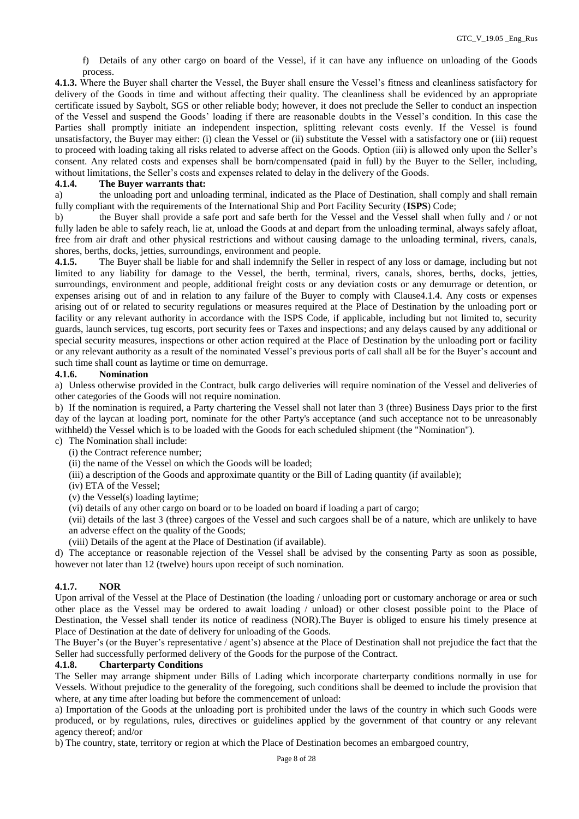f) Details of any other cargo on board of the Vessel, if it can have any influence on unloading of the Goods process.

**4.1.3.** Where the Buyer shall charter the Vessel, the Buyer shall ensure the Vessel's fitness and cleanliness satisfactory for delivery of the Goods in time and without affecting their quality. The cleanliness shall be evidenced by an appropriate certificate issued by Saybolt, SGS or other reliable body; however, it does not preclude the Seller to conduct an inspection of the Vessel and suspend the Goods' loading if there are reasonable doubts in the Vessel's condition. In this case the Parties shall promptly initiate an independent inspection, splitting relevant costs evenly. If the Vessel is found unsatisfactory, the Buyer may either: (i) clean the Vessel or (ii) substitute the Vessel with a satisfactory one or (iii) request to proceed with loading taking all risks related to adverse affect on the Goods. Option (iii) is allowed only upon the Seller's consent. Any related costs and expenses shall be born/compensated (paid in full) by the Buyer to the Seller, including, without limitations, the Seller's costs and expenses related to delay in the delivery of the Goods.

### **4.1.4. The Buyer warrants that:**

a) the unloading port and unloading terminal, indicated as the Place of Destination, shall comply and shall remain fully compliant with the requirements of the International Ship and Port Facility Security (**ISPS**) Code;

b) the Buyer shall provide a safe port and safe berth for the Vessel and the Vessel shall when fully and / or not fully laden be able to safely reach, lie at, unload the Goods at and depart from the unloading terminal, always safely afloat, free from air draft and other physical restrictions and without causing damage to the unloading terminal, rivers, canals, shores, berths, docks, jetties, surroundings, environment and people.

**4.1.5.** The Buyer shall be liable for and shall indemnify the Seller in respect of any loss or damage, including but not limited to any liability for damage to the Vessel, the berth, terminal, rivers, canals, shores, berths, docks, jetties, surroundings, environment and people, additional freight costs or any deviation costs or any demurrage or detention, or expenses arising out of and in relation to any failure of the Buyer to comply with Clause4.1.4. Any costs or expenses arising out of or related to security regulations or measures required at the Place of Destination by the unloading port or facility or any relevant authority in accordance with the ISPS Code, if applicable, including but not limited to, security guards, launch services, tug escorts, port security fees or Taxes and inspections; and any delays caused by any additional or special security measures, inspections or other action required at the Place of Destination by the unloading port or facility or any relevant authority as a result of the nominated Vessel's previous ports of call shall all be for the Buyer's account and such time shall count as laytime or time on demurrage.

### **4.1.6. Nomination**

a) Unless otherwise provided in the Contract, bulk cargo deliveries will require nomination of the Vessel and deliveries of other categories of the Goods will not require nomination.

b) If the nomination is required, a Party chartering the Vessel shall not later than 3 (three) Business Days prior to the first day of the laycan at loading port, nominate for the other Party's acceptance (and such acceptance not to be unreasonably withheld) the Vessel which is to be loaded with the Goods for each scheduled shipment (the "Nomination").

c) The Nomination shall include:

(i) the Contract reference number;

(ii) the name of the Vessel on which the Goods will be loaded;

(iii) a description of the Goods and approximate quantity or the Bill of Lading quantity (if available);

(iv) ETA of the Vessel;

(v) the Vessel(s) loading laytime;

(vi) details of any other cargo on board or to be loaded on board if loading a part of cargo;

(vii) details of the last 3 (three) cargoes of the Vessel and such cargoes shall be of a nature, which are unlikely to have an adverse effect on the quality of the Goods;

(viii) Details of the agent at the Place of Destination (if available).

d) The acceptance or reasonable rejection of the Vessel shall be advised by the consenting Party as soon as possible, however not later than 12 (twelve) hours upon receipt of such nomination.

# **4.1.7. NOR**

Upon arrival of the Vessel at the Place of Destination (the loading / unloading port or customary anchorage or area or such other place as the Vessel may be ordered to await loading / unload) or other closest possible point to the Place of Destination, the Vessel shall tender its notice of readiness (NOR).The Buyer is obliged to ensure his timely presence at Place of Destination at the date of delivery for unloading of the Goods.

The Buyer's (or the Buyer's representative / agent's) absence at the Place of Destination shall not prejudice the fact that the Seller had successfully performed delivery of the Goods for the purpose of the Contract.

# **4.1.8. Charterparty Conditions**

The Seller may arrange shipment under Bills of Lading which incorporate charterparty conditions normally in use for Vessels. Without prejudice to the generality of the foregoing, such conditions shall be deemed to include the provision that where, at any time after loading but before the commencement of unload:

a) Importation of the Goods at the unloading port is prohibited under the laws of the country in which such Goods were produced, or by regulations, rules, directives or guidelines applied by the government of that country or any relevant agency thereof; and/or

b) The country, state, territory or region at which the Place of Destination becomes an embargoed country,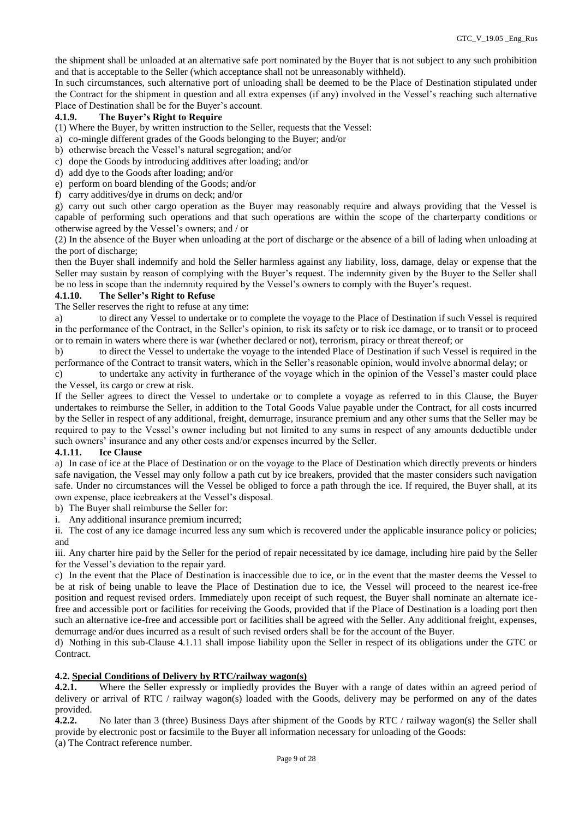the shipment shall be unloaded at an alternative safe port nominated by the Buyer that is not subject to any such prohibition and that is acceptable to the Seller (which acceptance shall not be unreasonably withheld).

In such circumstances, such alternative port of unloading shall be deemed to be the Place of Destination stipulated under the Contract for the shipment in question and all extra expenses (if any) involved in the Vessel's reaching such alternative Place of Destination shall be for the Buyer's account.

# **4.1.9. The Buyer's Right to Require**

(1) Where the Buyer, by written instruction to the Seller, requests that the Vessel:

- a) co-mingle different grades of the Goods belonging to the Buyer; and/or
- b) otherwise breach the Vessel's natural segregation; and/or
- c) dope the Goods by introducing additives after loading; and/or
- d) add dye to the Goods after loading; and/or
- e) perform on board blending of the Goods; and/or
- f) carry additives/dye in drums on deck; and/or

g) carry out such other cargo operation as the Buyer may reasonably require and always providing that the Vessel is capable of performing such operations and that such operations are within the scope of the charterparty conditions or otherwise agreed by the Vessel's owners; and / or

(2) In the absence of the Buyer when unloading at the port of discharge or the absence of a bill of lading when unloading at the port of discharge;

then the Buyer shall indemnify and hold the Seller harmless against any liability, loss, damage, delay or expense that the Seller may sustain by reason of complying with the Buyer's request. The indemnity given by the Buyer to the Seller shall be no less in scope than the indemnity required by the Vessel's owners to comply with the Buyer's request.

### **4.1.10. The Seller's Right to Refuse**

The Seller reserves the right to refuse at any time:

a) to direct any Vessel to undertake or to complete the voyage to the Place of Destination if such Vessel is required in the performance of the Contract, in the Seller's opinion, to risk its safety or to risk ice damage, or to transit or to proceed or to remain in waters where there is war (whether declared or not), terrorism, piracy or threat thereof; or

b) to direct the Vessel to undertake the voyage to the intended Place of Destination if such Vessel is required in the performance of the Contract to transit waters, which in the Seller's reasonable opinion, would involve abnormal delay; or

c) to undertake any activity in furtherance of the voyage which in the opinion of the Vessel's master could place the Vessel, its cargo or crew at risk.

If the Seller agrees to direct the Vessel to undertake or to complete a voyage as referred to in this Clause, the Buyer undertakes to reimburse the Seller, in addition to the Total Goods Value payable under the Contract, for all costs incurred by the Seller in respect of any additional, freight, demurrage, insurance premium and any other sums that the Seller may be required to pay to the Vessel's owner including but not limited to any sums in respect of any amounts deductible under such owners' insurance and any other costs and/or expenses incurred by the Seller.

# **4.1.11. Ice Clause**

a) In case of ice at the Place of Destination or on the voyage to the Place of Destination which directly prevents or hinders safe navigation, the Vessel may only follow a path cut by ice breakers, provided that the master considers such navigation safe. Under no circumstances will the Vessel be obliged to force a path through the ice. If required, the Buyer shall, at its own expense, place icebreakers at the Vessel's disposal.

b) The Buyer shall reimburse the Seller for:

i. Any additional insurance premium incurred;

ii. The cost of any ice damage incurred less any sum which is recovered under the applicable insurance policy or policies; and

iii. Any charter hire paid by the Seller for the period of repair necessitated by ice damage, including hire paid by the Seller for the Vessel's deviation to the repair yard.

c) In the event that the Place of Destination is inaccessible due to ice, or in the event that the master deems the Vessel to be at risk of being unable to leave the Place of Destination due to ice, the Vessel will proceed to the nearest ice-free position and request revised orders. Immediately upon receipt of such request, the Buyer shall nominate an alternate icefree and accessible port or facilities for receiving the Goods, provided that if the Place of Destination is a loading port then such an alternative ice-free and accessible port or facilities shall be agreed with the Seller. Any additional freight, expenses, demurrage and/or dues incurred as a result of such revised orders shall be for the account of the Buyer.

d) Nothing in this sub-Clause 4.1.11 shall impose liability upon the Seller in respect of its obligations under the GTC or Contract.

# **4.2. Special Conditions of Delivery by RTC/railway wagon(s)**

**4.2.1.** Where the Seller expressly or impliedly provides the Buyer with a range of dates within an agreed period of delivery or arrival of RTC / railway wagon(s) loaded with the Goods, delivery may be performed on any of the dates provided.

**4.2.2.** No later than 3 (three) Business Days after shipment of the Goods by RTC / railway wagon(s) the Seller shall provide by electronic post or facsimile to the Buyer all information necessary for unloading of the Goods: (a) The Contract reference number.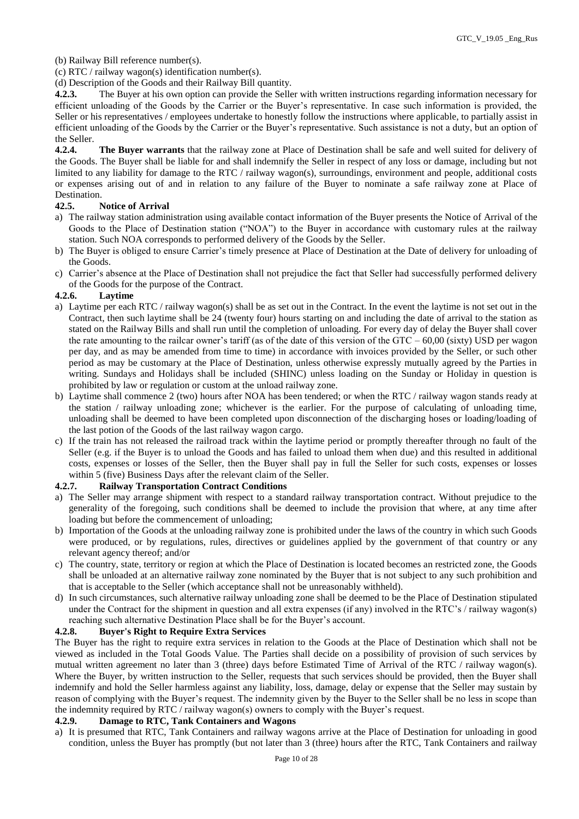(b) Railway Bill reference number(s).

(c) RTC / railway wagon(s) identification number(s).

(d) Description of the Goods and their Railway Bill quantity.

**4.2.3.** The Buyer at his own option can provide the Seller with written instructions regarding information necessary for efficient unloading of the Goods by the Carrier or the Buyer's representative. In case such information is provided, the Seller or his representatives / employees undertake to honestly follow the instructions where applicable, to partially assist in efficient unloading of the Goods by the Carrier or the Buyer's representative. Such assistance is not a duty, but an option of the Seller.

**4.2.4. The Buyer warrants** that the railway zone at Place of Destination shall be safe and well suited for delivery of the Goods. The Buyer shall be liable for and shall indemnify the Seller in respect of any loss or damage, including but not limited to any liability for damage to the RTC / railway wagon(s), surroundings, environment and people, additional costs or expenses arising out of and in relation to any failure of the Buyer to nominate a safe railway zone at Place of Destination.

### **42.5. Notice of Arrival**

- a) The railway station administration using available contact information of the Buyer presents the Notice of Arrival of the Goods to the Place of Destination station ("NOA") to the Buyer in accordance with customary rules at the railway station. Such NOA corresponds to performed delivery of the Goods by the Seller.
- b) The Buyer is obliged to ensure Carrier's timely presence at Place of Destination at the Date of delivery for unloading of the Goods.
- c) Carrier's absence at the Place of Destination shall not prejudice the fact that Seller had successfully performed delivery of the Goods for the purpose of the Contract.

#### **4.2.6. Laytime**

- a) Laytime per each RTC / railway wagon(s) shall be as set out in the Contract. In the event the laytime is not set out in the Contract, then such laytime shall be 24 (twenty four) hours starting on and including the date of arrival to the station as stated on the Railway Bills and shall run until the completion of unloading. For every day of delay the Buyer shall cover the rate amounting to the railcar owner's tariff (as of the date of this version of the GTC –  $60,00$  (sixty) USD per wagon per day, and as may be amended from time to time) in accordance with invoices provided by the Seller, or such other period as may be customary at the Place of Destination, unless otherwise expressly mutually agreed by the Parties in writing. Sundays and Holidays shall be included (SHINC) unless loading on the Sunday or Holiday in question is prohibited by law or regulation or custom at the unload railway zone.
- b) Laytime shall commence 2 (two) hours after NOA has been tendered; or when the RTC / railway wagon stands ready at the station / railway unloading zone; whichever is the earlier. For the purpose of calculating of unloading time, unloading shall be deemed to have been completed upon disconnection of the discharging hoses or loading/loading of the last potion of the Goods of the last railway wagon cargo.
- c) If the train has not released the railroad track within the laytime period or promptly thereafter through no fault of the Seller (e.g. if the Buyer is to unload the Goods and has failed to unload them when due) and this resulted in additional costs, expenses or losses of the Seller, then the Buyer shall pay in full the Seller for such costs, expenses or losses within 5 (five) Business Days after the relevant claim of the Seller.

#### **4.2.7. Railway Transportation Contract Conditions**

- a) The Seller may arrange shipment with respect to a standard railway transportation contract. Without prejudice to the generality of the foregoing, such conditions shall be deemed to include the provision that where, at any time after loading but before the commencement of unloading;
- b) Importation of the Goods at the unloading railway zone is prohibited under the laws of the country in which such Goods were produced, or by regulations, rules, directives or guidelines applied by the government of that country or any relevant agency thereof; and/or
- c) The country, state, territory or region at which the Place of Destination is located becomes an restricted zone, the Goods shall be unloaded at an alternative railway zone nominated by the Buyer that is not subject to any such prohibition and that is acceptable to the Seller (which acceptance shall not be unreasonably withheld).
- d) In such circumstances, such alternative railway unloading zone shall be deemed to be the Place of Destination stipulated under the Contract for the shipment in question and all extra expenses (if any) involved in the RTC's / railway wagon(s) reaching such alternative Destination Place shall be for the Buyer's account.

#### **4.2.8. Buyer's Right to Require Extra Services**

The Buyer has the right to require extra services in relation to the Goods at the Place of Destination which shall not be viewed as included in the Total Goods Value. The Parties shall decide on a possibility of provision of such services by mutual written agreement no later than 3 (three) days before Estimated Time of Arrival of the RTC / railway wagon(s). Where the Buyer, by written instruction to the Seller, requests that such services should be provided, then the Buyer shall indemnify and hold the Seller harmless against any liability, loss, damage, delay or expense that the Seller may sustain by reason of complying with the Buyer's request. The indemnity given by the Buyer to the Seller shall be no less in scope than the indemnity required by RTC / railway wagon(s) owners to comply with the Buyer's request.

# **4.2.9. Damage to RTC, Tank Containers and Wagons**

a) It is presumed that RTC, Tank Containers and railway wagons arrive at the Place of Destination for unloading in good condition, unless the Buyer has promptly (but not later than 3 (three) hours after the RTC, Tank Containers and railway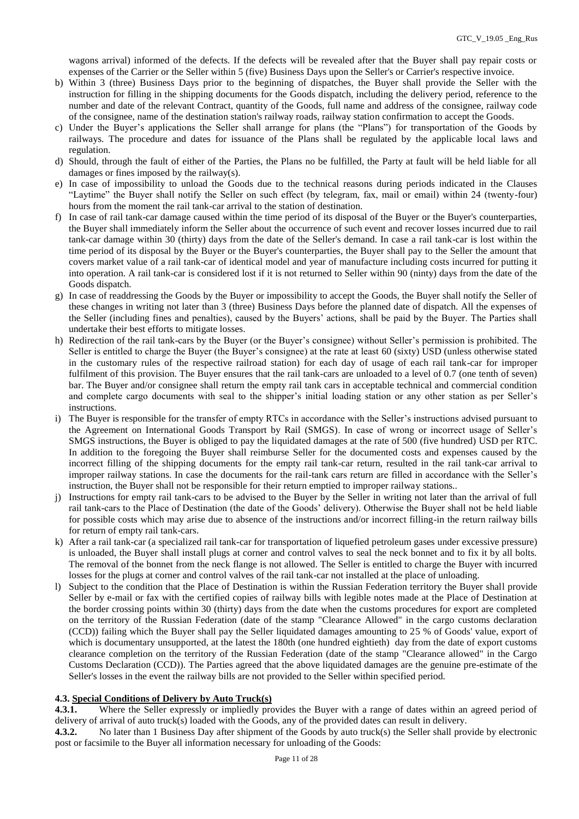wagons arrival) informed of the defects. If the defects will be revealed after that the Buyer shall pay repair costs or expenses of the Carrier or the Seller within 5 (five) Business Days upon the Seller's or Carrier's respective invoice.

- b) Within 3 (three) Business Days prior to the beginning of dispatches, the Buyer shall provide the Seller with the instruction for filling in the shipping documents for the Goods dispatch, including the delivery period, reference to the number and date of the relevant Contract, quantity of the Goods, full name and address of the consignee, railway code of the consignee, name of the destination station's railway roads, railway station confirmation to accept the Goods.
- c) Under the Buyer's applications the Seller shall arrange for plans (the "Plans") for transportation of the Goods by railways. The procedure and dates for issuance of the Plans shall be regulated by the applicable local laws and regulation.
- d) Should, through the fault of either of the Parties, the Plans no be fulfilled, the Party at fault will be held liable for all damages or fines imposed by the railway(s).
- e) In case of impossibility to unload the Goods due to the technical reasons during periods indicated in the Clauses "Laytime" the Buyer shall notify the Seller on such effect (by telegram, fax, mail or email) within 24 (twenty-four) hours from the moment the rail tank-car arrival to the station of destination.
- f) In case of rail tank-car damage caused within the time period of its disposal of the Buyer or the Buyer's counterparties, the Buyer shall immediately inform the Seller about the occurrence of such event and recover losses incurred due to rail tank-car damage within 30 (thirty) days from the date of the Seller's demand. In case a rail tank-car is lost within the time period of its disposal by the Buyer or the Buyer's counterparties, the Buyer shall pay to the Seller the amount that covers market value of a rail tank-car of identical model and year of manufacture including costs incurred for putting it into operation. A rail tank-car is considered lost if it is not returned to Seller within 90 (ninty) days from the date of the Goods dispatch.
- g) In case of readdressing the Goods by the Buyer or impossibility to accept the Goods, the Buyer shall notify the Seller of these changes in writing not later than 3 (three) Business Days before the planned date of dispatch. All the expenses of the Seller (including fines and penalties), caused by the Buyers' actions, shall be paid by the Buyer. The Parties shall undertake their best efforts to mitigate losses.
- h) Redirection of the rail tank-cars by the Buyer (or the Buyer's consignee) without Seller's permission is prohibited. The Seller is entitled to charge the Buyer (the Buyer's consignee) at the rate at least 60 (sixty) USD (unless otherwise stated in the customary rules of the respective railroad station) for each day of usage of each rail tank-car for improper fulfilment of this provision. The Buyer ensures that the rail tank-cars are unloaded to a level of 0.7 (one tenth of seven) bar. The Buyer and/or consignee shall return the empty rail tank cars in acceptable technical and commercial condition and complete cargo documents with seal to the shipper's initial loading station or any other station as per Seller's instructions.
- i) The Buyer is responsible for the transfer of empty RTCs in accordance with the Seller's instructions advised pursuant to the Agreement on International Goods Transport by Rail (SMGS). In case of wrong or incorrect usage of Seller's SMGS instructions, the Buyer is obliged to pay the liquidated damages at the rate of 500 (five hundred) USD per RTC. In addition to the foregoing the Buyer shall reimburse Seller for the documented costs and expenses caused by the incorrect filling of the shipping documents for the empty rail tank-car return, resulted in the rail tank-car arrival to improper railway stations. In case the documents for the rail-tank cars return are filled in accordance with the Seller's instruction, the Buyer shall not be responsible for their return emptied to improper railway stations..
- j) Instructions for empty rail tank-cars to be advised to the Buyer by the Seller in writing not later than the arrival of full rail tank-cars to the Place of Destination (the date of the Goods' delivery). Otherwise the Buyer shall not be held liable for possible costs which may arise due to absence of the instructions and/or incorrect filling-in the return railway bills for return of empty rail tank-cars.
- k) After a rail tank-car (a specialized rail tank-car for transportation of liquefied petroleum gases under excessive pressure) is unloaded, the Buyer shall install plugs at corner and control valves to seal the neck bonnet and to fix it by all bolts. The removal of the bonnet from the neck flange is not allowed. The Seller is entitled to charge the Buyer with incurred losses for the plugs at corner and control valves of the rail tank-car not installed at the place of unloading.
- l) Subject to the condition that the Place of Destination is within the Russian Federation territory the Buyer shall provide Seller by e-mail or fax with the certified copies of railway bills with legible notes made at the Place of Destination at the border crossing points within 30 (thirty) days from the date when the customs procedures for export are completed on the territory of the Russian Federation (date of the stamp "Clearance Allowed" in the cargo customs declaration (CCD)) failing which the Buyer shall pay the Seller liquidated damages amounting to 25 % of Goods' value, export of which is documentary unsupported, at the latest the 180th (one hundred eightieth) day from the date of export customs clearance completion on the territory of the Russian Federation (date of the stamp "Clearance allowed" in the Cargo Customs Declaration (CCD)). The Parties agreed that the above liquidated damages are the genuine pre-estimate of the Seller's losses in the event the railway bills are not provided to the Seller within specified period.

#### **4.3. Special Conditions of Delivery by Auto Truck(s)**

**4.3.1.** Where the Seller expressly or impliedly provides the Buyer with a range of dates within an agreed period of delivery of arrival of auto truck(s) loaded with the Goods, any of the provided dates can result in delivery.

**4.3.2.** No later than 1 Business Day after shipment of the Goods by auto truck(s) the Seller shall provide by electronic post or facsimile to the Buyer all information necessary for unloading of the Goods: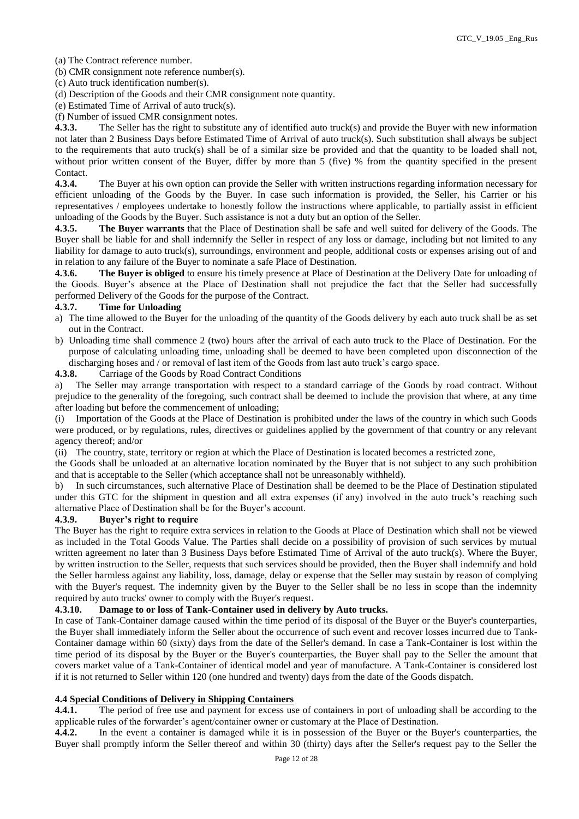(a) The Contract reference number.

(b) CMR consignment note reference number(s).

(c) Auto truck identification number(s).

(d) Description of the Goods and their CMR consignment note quantity.

(e) Estimated Time of Arrival of auto truck(s).

(f) Number of issued CMR consignment notes.

**4.3.3.** The Seller has the right to substitute any of identified auto truck(s) and provide the Buyer with new information not later than 2 Business Days before Estimated Time of Arrival of auto truck(s). Such substitution shall always be subject to the requirements that auto truck(s) shall be of a similar size be provided and that the quantity to be loaded shall not, without prior written consent of the Buyer, differ by more than 5 (five) % from the quantity specified in the present Contact.

**4.3.4.** The Buyer at his own option can provide the Seller with written instructions regarding information necessary for efficient unloading of the Goods by the Buyer. In case such information is provided, the Seller, his Carrier or his representatives / employees undertake to honestly follow the instructions where applicable, to partially assist in efficient unloading of the Goods by the Buyer. Such assistance is not a duty but an option of the Seller.

**4.3.5. The Buyer warrants** that the Place of Destination shall be safe and well suited for delivery of the Goods. The Buyer shall be liable for and shall indemnify the Seller in respect of any loss or damage, including but not limited to any liability for damage to auto truck(s), surroundings, environment and people, additional costs or expenses arising out of and in relation to any failure of the Buyer to nominate a safe Place of Destination.

**4.3.6. The Buyer is obliged** to ensure his timely presence at Place of Destination at the Delivery Date for unloading of the Goods. Buyer's absence at the Place of Destination shall not prejudice the fact that the Seller had successfully performed Delivery of the Goods for the purpose of the Contract.

# **4.3.7. Time for Unloading**

- a) The time allowed to the Buyer for the unloading of the quantity of the Goods delivery by each auto truck shall be as set out in the Contract.
- b) Unloading time shall commence 2 (two) hours after the arrival of each auto truck to the Place of Destination. For the purpose of calculating unloading time, unloading shall be deemed to have been completed upon disconnection of the discharging hoses and / or removal of last item of the Goods from last auto truck's cargo space.
- **4.3.8.** Carriage of the Goods by Road Contract Conditions

a) The Seller may arrange transportation with respect to a standard carriage of the Goods by road contract. Without prejudice to the generality of the foregoing, such contract shall be deemed to include the provision that where, at any time after loading but before the commencement of unloading;

(i) Importation of the Goods at the Place of Destination is prohibited under the laws of the country in which such Goods were produced, or by regulations, rules, directives or guidelines applied by the government of that country or any relevant agency thereof; and/or

(ii) The country, state, territory or region at which the Place of Destination is located becomes a restricted zone,

the Goods shall be unloaded at an alternative location nominated by the Buyer that is not subject to any such prohibition and that is acceptable to the Seller (which acceptance shall not be unreasonably withheld).

b) In such circumstances, such alternative Place of Destination shall be deemed to be the Place of Destination stipulated under this GTC for the shipment in question and all extra expenses (if any) involved in the auto truck's reaching such alternative Place of Destination shall be for the Buyer's account.

#### **4.3.9. Buyer's right to require**

The Buyer has the right to require extra services in relation to the Goods at Place of Destination which shall not be viewed as included in the Total Goods Value. The Parties shall decide on a possibility of provision of such services by mutual written agreement no later than 3 Business Days before Estimated Time of Arrival of the auto truck(s). Where the Buyer, by written instruction to the Seller, requests that such services should be provided, then the Buyer shall indemnify and hold the Seller harmless against any liability, loss, damage, delay or expense that the Seller may sustain by reason of complying with the Buyer's request. The indemnity given by the Buyer to the Seller shall be no less in scope than the indemnity required by auto trucks' owner to comply with the Buyer's request.

#### **4.3.10. Damage to or loss of Tank-Container used in delivery by Auto trucks.**

In case of Tank-Container damage caused within the time period of its disposal of the Buyer or the Buyer's counterparties, the Buyer shall immediately inform the Seller about the occurrence of such event and recover losses incurred due to Tank-Container damage within 60 (sixty) days from the date of the Seller's demand. In case a Tank-Container is lost within the time period of its disposal by the Buyer or the Buyer's counterparties, the Buyer shall pay to the Seller the amount that covers market value of a Tank-Container of identical model and year of manufacture. A Tank-Container is considered lost if it is not returned to Seller within 120 (one hundred and twenty) days from the date of the Goods dispatch.

#### **4.4 Special Conditions of Delivery in Shipping Containers**

**4.4.1.** The period of free use and payment for excess use of containers in port of unloading shall be according to the applicable rules of the forwarder's agent/container owner or customary at the Place of Destination.

**4.4.2.** In the event a container is damaged while it is in possession of the Buyer or the Buyer's counterparties, the Buyer shall promptly inform the Seller thereof and within 30 (thirty) days after the Seller's request pay to the Seller the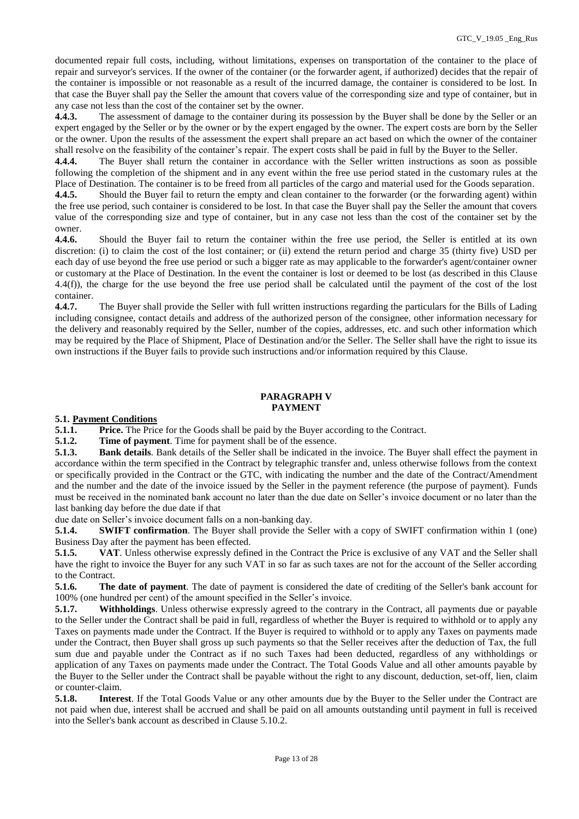documented repair full costs, including, without limitations, expenses on transportation of the container to the place of repair and surveyor's services. If the owner of the container (or the forwarder agent, if authorized) decides that the repair of the container is impossible or not reasonable as a result of the incurred damage, the container is considered to be lost. In that case the Buyer shall pay the Seller the amount that covers value of the corresponding size and type of container, but in any case not less than the cost of the container set by the owner.

**4.4.3.** The assessment of damage to the container during its possession by the Buyer shall be done by the Seller or an expert engaged by the Seller or by the owner or by the expert engaged by the owner. The expert costs are born by the Seller or the owner. Upon the results of the assessment the expert shall prepare an act based on which the owner of the container shall resolve on the feasibility of the container's repair. The expert costs shall be paid in full by the Buyer to the Seller.

**4.4.4.** The Buyer shall return the container in accordance with the Seller written instructions as soon as possible following the completion of the shipment and in any event within the free use period stated in the customary rules at the Place of Destination. The container is to be freed from all particles of the cargo and material used for the Goods separation.

**4.4.5.** Should the Buyer fail to return the empty and clean container to the forwarder (or the forwarding agent) within the free use period, such container is considered to be lost. In that case the Buyer shall pay the Seller the amount that covers value of the corresponding size and type of container, but in any case not less than the cost of the container set by the owner.

**4.4.6.** Should the Buyer fail to return the container within the free use period, the Seller is entitled at its own discretion: (i) to claim the cost of the lost container; or (ii) extend the return period and charge 35 (thirty five) USD per each day of use beyond the free use period or such a bigger rate as may applicable to the forwarder's agent/container owner or customary at the Place of Destination. In the event the container is lost or deemed to be lost (as described in this Clause 4.4(f)), the charge for the use beyond the free use period shall be calculated until the payment of the cost of the lost container.

**4.4.7.** The Buyer shall provide the Seller with full written instructions regarding the particulars for the Bills of Lading including consignee, contact details and address of the authorized person of the consignee, other information necessary for the delivery and reasonably required by the Seller, number of the copies, addresses, etc. and such other information which may be required by the Place of Shipment, Place of Destination and/or the Seller. The Seller shall have the right to issue its own instructions if the Buyer fails to provide such instructions and/or information required by this Clause.

#### **PARAGRAPH V PAYMENT**

**5.1. Payment Conditions**

**5.1.1. Price.** The Price for the Goods shall be paid by the Buyer according to the Contract. **5.1.2. Time of navment**. Time for navment shall be of the essence.

**5.1.2. Time of payment**. Time for payment shall be of the essence.

**5.1.3. Bank details**. Bank details of the Seller shall be indicated in the invoice. The Buyer shall effect the payment in accordance within the term specified in the Contract by telegraphic transfer and, unless otherwise follows from the context or specifically provided in the Contract or the GTC, with indicating the number and the date of the Contract/Amendment and the number and the date of the invoice issued by the Seller in the payment reference (the purpose of payment). Funds must be received in the nominated bank account no later than the due date on Seller's invoice document or no later than the last banking day before the due date if that

due date on Seller's invoice document falls on a non-banking day.

**5.1.4. SWIFT confirmation**. The Buyer shall provide the Seller with a copy of SWIFT confirmation within 1 (one) Business Day after the payment has been effected.

**5.1.5. VAT**. Unless otherwise expressly defined in the Contract the Price is exclusive of any VAT and the Seller shall have the right to invoice the Buyer for any such VAT in so far as such taxes are not for the account of the Seller according to the Contract.

**5.1.6. The date of payment**. The date of payment is considered the date of crediting of the Seller's bank account for 100% (one hundred per cent) of the amount specified in the Seller's invoice.

**5.1.7. Withholdings**. Unless otherwise expressly agreed to the contrary in the Contract, all payments due or payable to the Seller under the Contract shall be paid in full, regardless of whether the Buyer is required to withhold or to apply any Taxes on payments made under the Contract. If the Buyer is required to withhold or to apply any Taxes on payments made under the Contract, then Buyer shall gross up such payments so that the Seller receives after the deduction of Tax, the full sum due and payable under the Contract as if no such Taxes had been deducted, regardless of any withholdings or application of any Taxes on payments made under the Contract. The Total Goods Value and all other amounts payable by the Buyer to the Seller under the Contract shall be payable without the right to any discount, deduction, set-off, lien, claim or counter-claim.

**5.1.8. Interest**. If the Total Goods Value or any other amounts due by the Buyer to the Seller under the Contract are not paid when due, interest shall be accrued and shall be paid on all amounts outstanding until payment in full is received into the Seller's bank account as described in Clause 5.10.2.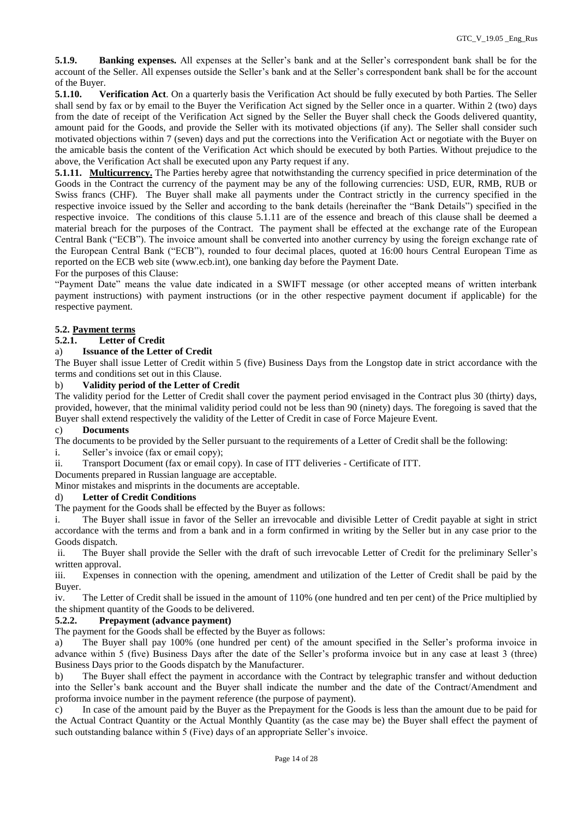**5.1.9. Banking expenses.** All expenses at the Seller's bank and at the Seller's correspondent bank shall be for the account of the Seller. All expenses outside the Seller's bank and at the Seller's correspondent bank shall be for the account of the Buyer.

**5.1.10. Verification Act**. On a quarterly basis the Verification Act should be fully executed by both Parties. The Seller shall send by fax or by email to the Buyer the Verification Act signed by the Seller once in a quarter. Within 2 (two) days from the date of receipt of the Verification Act signed by the Seller the Buyer shall check the Goods delivered quantity, amount paid for the Goods, and provide the Seller with its motivated objections (if any). The Seller shall consider such motivated objections within 7 (seven) days and put the corrections into the Verification Act or negotiate with the Buyer on the amicable basis the content of the Verification Act which should be executed by both Parties. Without prejudice to the above, the Verification Act shall be executed upon any Party request if any.

**5.1.11. Multicurrency.** The Parties hereby agree that notwithstanding the currency specified in price determination of the Goods in the Contract the currency of the payment may be any of the following currencies: USD, EUR, RMB, RUB or Swiss francs (CHF). The Buyer shall make all payments under the Contract strictly in the currency specified in the respective invoice issued by the Seller and according to the bank details (hereinafter the "Bank Details") specified in the respective invoice. The conditions of this clause 5.1.11 are of the essence and breach of this clause shall be deemed a material breach for the purposes of the Contract. The payment shall be effected at the exchange rate of the European Central Bank ("ECB"). The invoice amount shall be converted into another currency by using the foreign exchange rate of the European Central Bank ("ECB"), rounded to four decimal places, quoted at 16:00 hours Central European Time as reported on the ECB web site [\(www.ecb.int\)](https://urldefense.proofpoint.com/v2/url?u=http-3A__www.ecb.int&d=DwMGaQ&c=ptMoEJ5oTofwe4L9tBtGCQ&r=NKFf0xBnqjEI9x7Jy2O4LnREaIU2RCSKwLPa1twtm2k&m=nutHxWE4p16GbrnDEzTBAmAcABmevyKWvts0KDzcvg0&s=p_bgQn342ZRvhTogEJc9-lkNZ6vFQb8aUDkEkUx6vN4&e=), one banking day before the Payment Date.

### For the purposes of this Clause:

"Payment Date" means the value date indicated in a SWIFT message (or other accepted means of written interbank payment instructions) with payment instructions (or in the other respective payment document if applicable) for the respective payment.

# **5.2. Payment terms**

# **5.2.1. Letter of Credit**

# a) **Issuance of the Letter of Credit**

The Buyer shall issue Letter of Credit within 5 (five) Business Days from the Longstop date in strict accordance with the terms and conditions set out in this Clause.

### b) **Validity period of the Letter of Credit**

The validity period for the Letter of Credit shall cover the payment period envisaged in the Contract plus 30 (thirty) days, provided, however, that the minimal validity period could not be less than 90 (ninety) days. The foregoing is saved that the Buyer shall extend respectively the validity of the Letter of Credit in case of Force Majeure Event.

# c) **Documents**

The documents to be provided by the Seller pursuant to the requirements of a Letter of Credit shall be the following:

i. Seller's invoice (fax or email copy);

ii. Transport Document (fax or email copy). In case of ITT deliveries - Certificate of ITT.

Documents prepared in Russian language are acceptable.

Minor mistakes and misprints in the documents are acceptable.

# d) **Letter of Credit Conditions**

The payment for the Goods shall be effected by the Buyer as follows:

i. The Buyer shall issue in favor of the Seller an irrevocable and divisible Letter of Credit payable at sight in strict accordance with the terms and from a bank and in a form confirmed in writing by the Seller but in any case prior to the Goods dispatch.

ii. The Buyer shall provide the Seller with the draft of such irrevocable Letter of Credit for the preliminary Seller's written approval.

iii. Expenses in connection with the opening, amendment and utilization of the Letter of Credit shall be paid by the Buyer.

iv. The Letter of Credit shall be issued in the amount of 110% (one hundred and ten per cent) of the Price multiplied by the shipment quantity of the Goods to be delivered.

#### **5.2.2. Prepayment (advance payment)**

The payment for the Goods shall be effected by the Buyer as follows:

a) The Buyer shall pay 100% (one hundred per cent) of the amount specified in the Seller's proforma invoice in advance within 5 (five) Business Days after the date of the Seller's proforma invoice but in any case at least 3 (three) Business Days prior to the Goods dispatch by the Manufacturer.

b) The Buyer shall effect the payment in accordance with the Contract by telegraphic transfer and without deduction into the Seller's bank account and the Buyer shall indicate the number and the date of the Contract/Amendment and proforma invoice number in the payment reference (the purpose of payment).

c) In case of the amount paid by the Buyer as the Prepayment for the Goods is less than the amount due to be paid for the Actual Contract Quantity or the Actual Monthly Quantity (as the case may be) the Buyer shall effect the payment of such outstanding balance within 5 (Five) days of an appropriate Seller's invoice.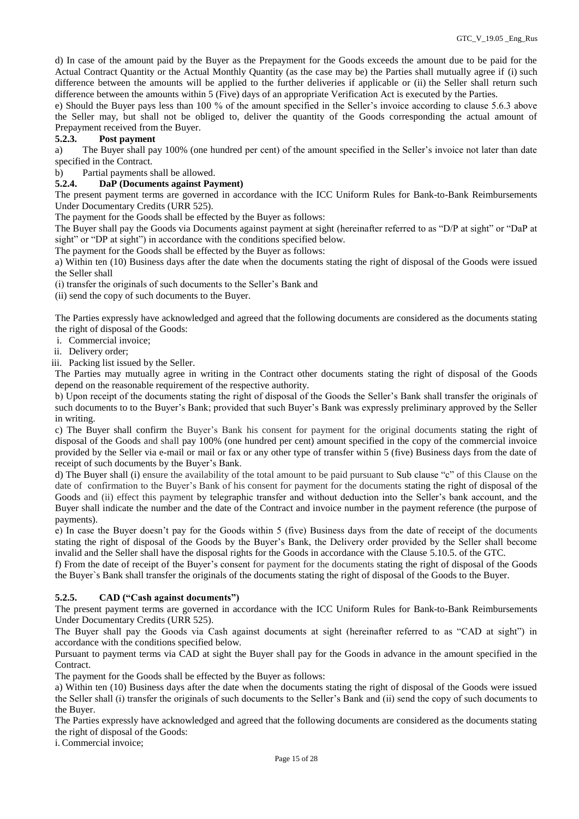d) In case of the amount paid by the Buyer as the Prepayment for the Goods exceeds the amount due to be paid for the Actual Contract Quantity or the Actual Monthly Quantity (as the case may be) the Parties shall mutually agree if (i) such difference between the amounts will be applied to the further deliveries if applicable or (ii) the Seller shall return such difference between the amounts within 5 (Five) days of an appropriate Verification Act is executed by the Parties.

e) Should the Buyer pays less than 100 % of the amount specified in the Seller's invoice according to clause 5.6.3 above the Seller may, but shall not be obliged to, deliver the quantity of the Goods corresponding the actual amount of Prepayment received from the Buyer.

# **5.2.3. Post payment**

a) The Buyer shall pay 100% (one hundred per cent) of the amount specified in the Seller's invoice not later than date specified in the Contract.

# b) Partial payments shall be allowed.<br>5.2.4. DaP (Documents against Pay **5.2.4. DaP (Documents against Payment)**

The present payment terms are governed in accordance with the ICC Uniform Rules for Bank-to-Bank Reimbursements Under Documentary Credits (URR 525).

The payment for the Goods shall be effected by the Buyer as follows:

The Buyer shall pay the Goods via Documents against payment at sight (hereinafter referred to as "D/P at sight" or "DaP at sight" or "DP at sight") in accordance with the conditions specified below.

The payment for the Goods shall be effected by the Buyer as follows:

a) Within ten (10) Business days after the date when the documents stating the right of disposal of the Goods were issued the Seller shall

(i) transfer the originals of such documents to the Seller's Bank and

(ii) send the copy of such documents to the Buyer.

The Parties expressly have acknowledged and agreed that the following documents are considered as the documents stating the right of disposal of the Goods:

i. Commercial invoice;

ii. Delivery order;

iii. Packing list issued by the Seller.

The Parties may mutually agree in writing in the Contract other documents stating the right of disposal of the Goods depend on the reasonable requirement of the respective authority.

b) Upon receipt of the documents stating the right of disposal of the Goods the Seller's Bank shall transfer the originals of such documents to to the Buyer's Bank; provided that such Buyer's Bank was expressly preliminary approved by the Seller in writing.

c) The Buyer shall confirm the Buyer's Bank his consent for payment for the original documents stating the right of disposal of the Goods and shall pay 100% (one hundred per cent) amount specified in the copy of the commercial invoice provided by the Seller via e-mail or mail or fax or any other type of transfer within 5 (five) Business days from the date of receipt of such documents by the Buyer's Bank.

d) The Buyer shall (i) ensure the availability of the total amount to be paid pursuant to Sub clause "c" of this Clause on the date of confirmation to the Buyer's Bank of his consent for payment for the documents stating the right of disposal of the Goods and (ii) effect this payment by telegraphic transfer and without deduction into the Seller's bank account, and the Buyer shall indicate the number and the date of the Contract and invoice number in the payment reference (the purpose of payments).

e) In case the Buyer doesn't pay for the Goods within 5 (five) Business days from the date of receipt of the documents stating the right of disposal of the Goods by the Buyer's Bank, the Delivery order provided by the Seller shall become invalid and the Seller shall have the disposal rights for the Goods in accordance with the Clause 5.10.5. of the GTC.

f) From the date of receipt of the Buyer's consent for payment for the documents stating the right of disposal of the Goods the Buyer`s Bank shall transfer the originals of the documents stating the right of disposal of the Goods to the Buyer.

# **5.2.5. CAD ("Cash against documents")**

The present payment terms are governed in accordance with the ICC Uniform Rules for Bank-to-Bank Reimbursements Under Documentary Credits (URR 525).

The Buyer shall pay the Goods via Cash against documents at sight (hereinafter referred to as "CAD at sight") in accordance with the conditions specified below.

Pursuant to payment terms via CAD at sight the Buyer shall pay for the Goods in advance in the amount specified in the Contract.

The payment for the Goods shall be effected by the Buyer as follows:

a) Within ten (10) Business days after the date when the documents stating the right of disposal of the Goods were issued the Seller shall (i) transfer the originals of such documents to the Seller's Bank and (ii) send the copy of such documents to the Buyer.

The Parties expressly have acknowledged and agreed that the following documents are considered as the documents stating the right of disposal of the Goods:

i. Commercial invoice;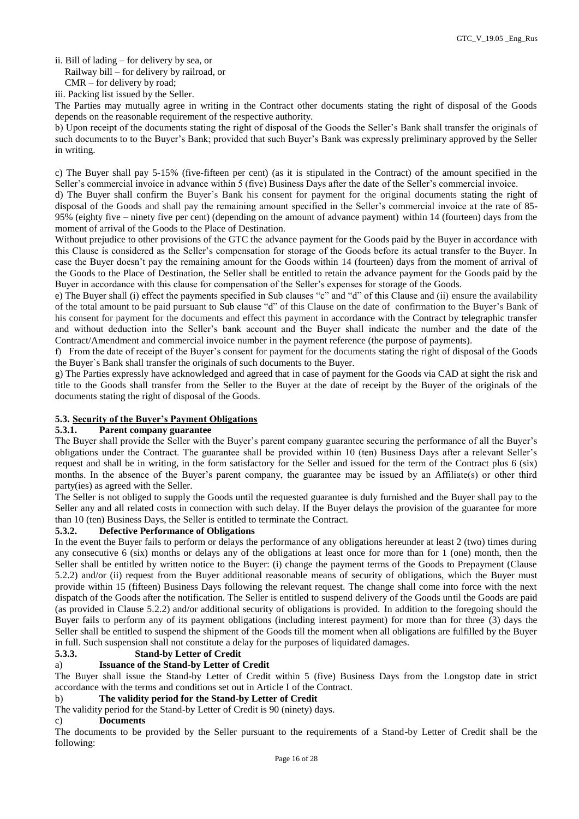ii. Bill of lading – for delivery by sea, or

Railway bill – for delivery by railroad, or

iii. Packing list issued by the Seller.

The Parties may mutually agree in writing in the Contract other documents stating the right of disposal of the Goods depends on the reasonable requirement of the respective authority.

b) Upon receipt of the documents stating the right of disposal of the Goods the Seller's Bank shall transfer the originals of such documents to to the Buyer's Bank; provided that such Buyer's Bank was expressly preliminary approved by the Seller in writing.

c) The Buyer shall pay 5-15% (five-fifteen per cent) (as it is stipulated in the Contract) of the amount specified in the Seller's commercial invoice in advance within 5 (five) Business Days after the date of the Seller's commercial invoice.

d) The Buyer shall confirm the Buyer's Bank his consent for payment for the original documents stating the right of disposal of the Goods and shall pay the remaining amount specified in the Seller's commercial invoice at the rate of 85- 95% (eighty five – ninety five per cent) (depending on the amount of advance payment) within 14 (fourteen) days from the moment of arrival of the Goods to the Place of Destination.

Without prejudice to other provisions of the GTC the advance payment for the Goods paid by the Buyer in accordance with this Clause is considered as the Seller's compensation for storage of the Goods before its actual transfer to the Buyer. In case the Buyer doesn't pay the remaining amount for the Goods within 14 (fourteen) days from the moment of arrival of the Goods to the Place of Destination, the Seller shall be entitled to retain the advance payment for the Goods paid by the Buyer in accordance with this clause for compensation of the Seller's expenses for storage of the Goods.

e) The Buyer shall (i) effect the payments specified in Sub clauses "c" and "d" of this Clause and (ii) ensure the availability of the total amount to be paid pursuant to Sub clause "d" of this Clause on the date of confirmation to the Buyer's Bank of his consent for payment for the documents and effect this payment in accordance with the Contract by telegraphic transfer and without deduction into the Seller's bank account and the Buyer shall indicate the number and the date of the Contract/Amendment and commercial invoice number in the payment reference (the purpose of payments).

f) From the date of receipt of the Buyer's consent for payment for the documents stating the right of disposal of the Goods the Buyer`s Bank shall transfer the originals of such documents to the Buyer.

g) The Parties expressly have acknowledged and agreed that in case of payment for the Goods via CAD at sight the risk and title to the Goods shall transfer from the Seller to the Buyer at the date of receipt by the Buyer of the originals of the documents stating the right of disposal of the Goods.

# **5.3. Security of the Buyer's Payment Obligations**

### **5.3.1. Parent company guarantee**

The Buyer shall provide the Seller with the Buyer's parent company guarantee securing the performance of all the Buyer's obligations under the Contract. The guarantee shall be provided within 10 (ten) Business Days after a relevant Seller's request and shall be in writing, in the form satisfactory for the Seller and issued for the term of the Contract plus 6 (six) months. In the absence of the Buyer's parent company, the guarantee may be issued by an Affiliate(s) or other third party(ies) as agreed with the Seller.

The Seller is not obliged to supply the Goods until the requested guarantee is duly furnished and the Buyer shall pay to the Seller any and all related costs in connection with such delay. If the Buyer delays the provision of the guarantee for more than 10 (ten) Business Days, the Seller is entitled to terminate the Contract.

# **5.3.2. Defective Performance of Obligations**

In the event the Buyer fails to perform or delays the performance of any obligations hereunder at least 2 (two) times during any consecutive 6 (six) months or delays any of the obligations at least once for more than for 1 (one) month, then the Seller shall be entitled by written notice to the Buyer: (i) change the payment terms of the Goods to Prepayment (Clause 5.2.2) and/or (ii) request from the Buyer additional reasonable means of security of obligations, which the Buyer must provide within 15 (fifteen) Business Days following the relevant request. The change shall come into force with the next dispatch of the Goods after the notification. The Seller is entitled to suspend delivery of the Goods until the Goods are paid (as provided in Clause 5.2.2) and/or additional security of obligations is provided. In addition to the foregoing should the Buyer fails to perform any of its payment obligations (including interest payment) for more than for three (3) days the Seller shall be entitled to suspend the shipment of the Goods till the moment when all obligations are fulfilled by the Buyer in full. Such suspension shall not constitute a delay for the purposes of liquidated damages.

# **5.3.3. Stand-by Letter of Credit**

### a) **Issuance of the Stand-by Letter of Credit**

The Buyer shall issue the Stand-by Letter of Credit within 5 (five) Business Days from the Longstop date in strict accordance with the terms and conditions set out in Article I of the Contract.

### b) **The validity period for the Stand-by Letter of Credit**

The validity period for the Stand-by Letter of Credit is 90 (ninety) days.

#### c) **Documents**

The documents to be provided by the Seller pursuant to the requirements of a Stand-by Letter of Credit shall be the following:

CMR – for delivery by road;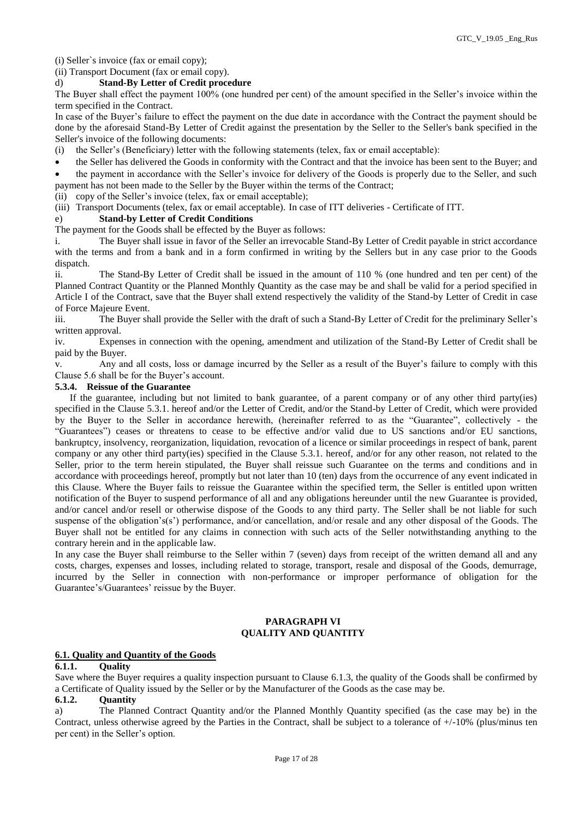(i) Seller`s invoice (fax or email copy);

(ii) Transport Document (fax or email copy).

#### d) **Stand-By Letter of Credit procedure**

The Buyer shall effect the payment 100% (one hundred per cent) of the amount specified in the Seller's invoice within the term specified in the Contract.

In case of the Buyer's failure to effect the payment on the due date in accordance with the Contract the payment should be done by the aforesaid Stand-By Letter of Credit against the presentation by the Seller to the Seller's bank specified in the Seller's invoice of the following documents:

(i) the Seller's (Beneficiary) letter with the following statements (telex, fax or email acceptable):

 the Seller has delivered the Goods in conformity with the Contract and that the invoice has been sent to the Buyer; and the payment in accordance with the Seller's invoice for delivery of the Goods is properly due to the Seller, and such payment has not been made to the Seller by the Buyer within the terms of the Contract;

(ii) copy of the Seller's invoice (telex, fax or email acceptable);

(iii) Transport Documents (telex, fax or email acceptable). In case of ITT deliveries - Certificate of ITT.

# e) **Stand-by Letter of Credit Conditions**

The payment for the Goods shall be effected by the Buyer as follows:

i. The Buyer shall issue in favor of the Seller an irrevocable Stand-By Letter of Credit payable in strict accordance with the terms and from a bank and in a form confirmed in writing by the Sellers but in any case prior to the Goods dispatch.

ii. The Stand-By Letter of Credit shall be issued in the amount of 110 % (one hundred and ten per cent) of the Planned Contract Quantity or the Planned Monthly Quantity as the case may be and shall be valid for a period specified in Article I of the Contract, save that the Buyer shall extend respectively the validity of the Stand-by Letter of Credit in case of Force Majeure Event.

iii. The Buyer shall provide the Seller with the draft of such a Stand-By Letter of Credit for the preliminary Seller's written approval.

iv. Expenses in connection with the opening, amendment and utilization of the Stand-By Letter of Credit shall be paid by the Buyer.

v. Any and all costs, loss or damage incurred by the Seller as a result of the Buyer's failure to comply with this Clause 5.6 shall be for the Buyer's account.

#### **5.3.4. Reissue of the Guarantee**

 If the guarantee, including but not limited to bank guarantee, of a parent company or of any other third party(ies) specified in the Clause 5.3.1. hereof and/or the Letter of Credit, and/or the Stand-by Letter of Credit, which were provided by the Buyer to the Seller in accordance herewith, (hereinafter referred to as the "Guarantee", collectively - the "Guarantees") ceases or threatens to cease to be effective and/or valid due to US sanctions and/or EU sanctions, bankruptcy, insolvency, reorganization, liquidation, revocation of a licence or similar proceedings in respect of bank, parent company or any other third party(ies) specified in the Clause 5.3.1. hereof, and/or for any other reason, not related to the Seller, prior to the term herein stipulated, the Buyer shall reissue such Guarantee on the terms and conditions and in accordance with proceedings hereof, promptly but not later than 10 (ten) days from the occurrence of any event indicated in this Clause. Where the Buyer fails to reissue the Guarantee within the specified term, the Seller is entitled upon written notification of the Buyer to suspend performance of all and any obligations hereunder until the new Guarantee is provided, and/or cancel and/or resell or otherwise dispose of the Goods to any third party. The Seller shall be not liable for such suspense of the obligation's(s') performance, and/or cancellation, and/or resale and any other disposal of the Goods. The Buyer shall not be entitled for any claims in connection with such acts of the Seller notwithstanding anything to the contrary herein and in the applicable law.

In any case the Buyer shall reimburse to the Seller within 7 (seven) days from receipt of the written demand all and any costs, charges, expenses and losses, including related to storage, transport, resale and disposal of the Goods, demurrage, incurred by the Seller in connection with non-performance or improper performance of obligation for the Guarantee's/Guarantees' reissue by the Buyer.

#### **PARAGRAPH VI QUALITY AND QUANTITY**

### **6.1. Quality and Quantity of the Goods**

#### **6.1.1. Quality**

Save where the Buyer requires a quality inspection pursuant to Clause 6.1.3, the quality of the Goods shall be confirmed by a Certificate of Quality issued by the Seller or by the Manufacturer of the Goods as the case may be.

# **6.1.2. Quantity**

a) The Planned Contract Quantity and/or the Planned Monthly Quantity specified (as the case may be) in the Contract, unless otherwise agreed by the Parties in the Contract, shall be subject to a tolerance of +/-10% (plus/minus ten per cent) in the Seller's option.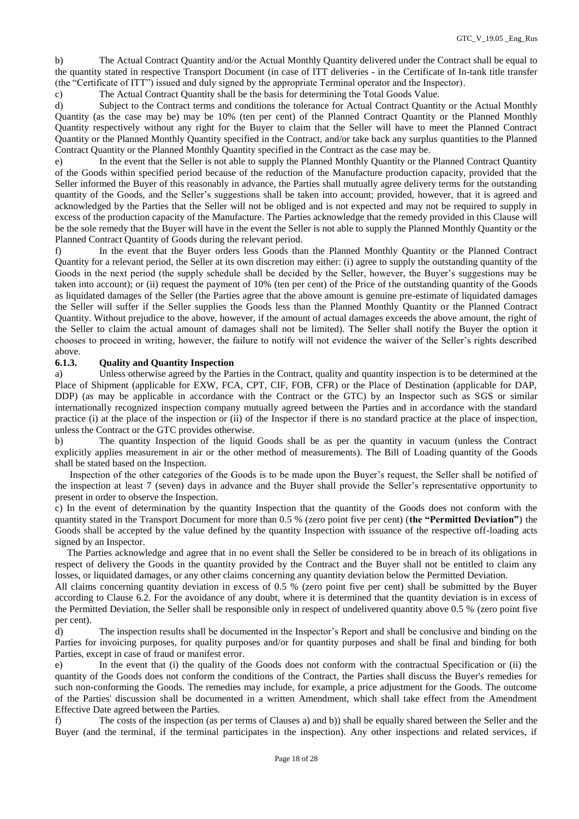b) The Actual Contract Quantity and/or the Actual Monthly Quantity delivered under the Contract shall be equal to the quantity stated in respective Transport Document (in case of ITT deliveries - in the Certificate of In-tank title transfer (the "Certificate of ITT") issued and duly signed by the appropriate Terminal operator and the Inspector).

c) The Actual Contract Quantity shall be the basis for determining the Total Goods Value.

d) Subject to the Contract terms and conditions the tolerance for Actual Contract Quantity or the Actual Monthly Quantity (as the case may be) may be 10% (ten per cent) of the Planned Contract Quantity or the Planned Monthly Quantity respectively without any right for the Buyer to claim that the Seller will have to meet the Planned Contract Quantity or the Planned Monthly Quantity specified in the Contract, and/or take back any surplus quantities to the Planned Contract Quantity or the Planned Monthly Quantity specified in the Contract as the case may be.

e) In the event that the Seller is not able to supply the Planned Monthly Quantity or the Planned Contract Quantity of the Goods within specified period because of the reduction of the Manufacture production capacity, provided that the Seller informed the Buyer of this reasonably in advance, the Parties shall mutually agree delivery terms for the outstanding quantity of the Goods, and the Seller's suggestions shall be taken into account; provided, however, that it is agreed and acknowledged by the Parties that the Seller will not be obliged and is not expected and may not be required to supply in excess of the production capacity of the Manufacture. The Parties acknowledge that the remedy provided in this Clause will be the sole remedy that the Buyer will have in the event the Seller is not able to supply the Planned Monthly Quantity or the Planned Contract Quantity of Goods during the relevant period.

f) In the event that the Buyer orders less Goods than the Planned Monthly Quantity or the Planned Contract Quantity for a relevant period, the Seller at its own discretion may either: (i) agree to supply the outstanding quantity of the Goods in the next period (the supply schedule shall be decided by the Seller, however, the Buyer's suggestions may be taken into account); or (ii) request the payment of 10% (ten per cent) of the Price of the outstanding quantity of the Goods as liquidated damages of the Seller (the Parties agree that the above amount is genuine pre-estimate of liquidated damages the Seller will suffer if the Seller supplies the Goods less than the Planned Monthly Quantity or the Planned Contract Quantity. Without prejudice to the above, however, if the amount of actual damages exceeds the above amount, the right of the Seller to claim the actual amount of damages shall not be limited). The Seller shall notify the Buyer the option it chooses to proceed in writing, however, the failure to notify will not evidence the waiver of the Seller's rights described above.

### **6.1.3. Quality and Quantity Inspection**

a) Unless otherwise agreed by the Parties in the Contract, quality and quantity inspection is to be determined at the Place of Shipment (applicable for EXW, FCA, CPT, CIF, FOB, CFR) or the Place of Destination (applicable for DAP, DDP) (as may be applicable in accordance with the Contract or the GTC) by an Inspector such as SGS or similar internationally recognized inspection company mutually agreed between the Parties and in accordance with the standard practice (i) at the place of the inspection or (ii) of the Inspector if there is no standard practice at the place of inspection, unless the Contract or the GTC provides otherwise.

b) The quantity Inspection of the liquid Goods shall be as per the quantity in vacuum (unless the Contract explicitly applies measurement in air or the other method of measurements). The Bill of Loading quantity of the Goods shall be stated based on the Inspection.

 Inspection of the other categories of the Goods is to be made upon the Buyer's request, the Seller shall be notified of the inspection at least 7 (seven) days in advance and the Buyer shall provide the Seller's representative opportunity to present in order to observe the Inspection.

c) In the event of determination by the quantity Inspection that the quantity of the Goods does not conform with the quantity stated in the Transport Document for more than 0.5 % (zero point five per cent) (**the "Permitted Deviation"**) the Goods shall be accepted by the value defined by the quantity Inspection with issuance of the respective off-loading acts signed by an Inspector.

 The Parties acknowledge and agree that in no event shall the Seller be considered to be in breach of its obligations in respect of delivery the Goods in the quantity provided by the Contract and the Buyer shall not be entitled to claim any losses, or liquidated damages, or any other claims concerning any quantity deviation below the Permitted Deviation.

All claims concerning quantity deviation in excess of 0.5 % (zero point five per cent) shall be submitted by the Buyer according to Clause 6.2. For the avoidance of any doubt, where it is determined that the quantity deviation is in excess of the Permitted Deviation, the Seller shall be responsible only in respect of undelivered quantity above 0.5 % (zero point five per cent).

d) The inspection results shall be documented in the Inspector's Report and shall be conclusive and binding on the Parties for invoicing purposes, for quality purposes and/or for quantity purposes and shall be final and binding for both Parties, except in case of fraud or manifest error.

e) In the event that (i) the quality of the Goods does not conform with the contractual Specification or (ii) the quantity of the Goods does not conform the conditions of the Contract, the Parties shall discuss the Buyer's remedies for such non-conforming the Goods. The remedies may include, for example, a price adjustment for the Goods. The outcome of the Parties' discussion shall be documented in a written Amendment, which shall take effect from the Amendment Effective Date agreed between the Parties.

f) The costs of the inspection (as per terms of Clauses a) and b)) shall be equally shared between the Seller and the Buyer (and the terminal, if the terminal participates in the inspection). Any other inspections and related services, if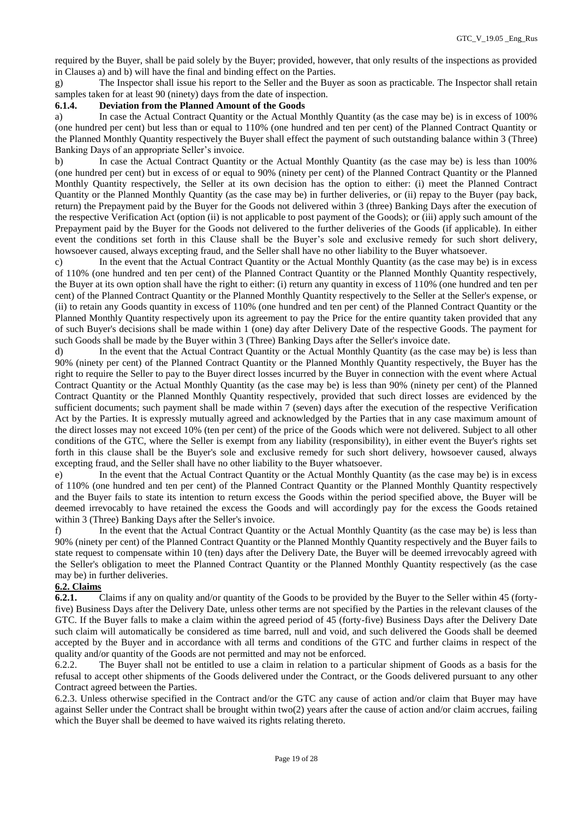required by the Buyer, shall be paid solely by the Buyer; provided, however, that only results of the inspections as provided in Clauses a) and b) will have the final and binding effect on the Parties.

g) The Inspector shall issue his report to the Seller and the Buyer as soon as practicable. The Inspector shall retain samples taken for at least 90 (ninety) days from the date of inspection.

#### **6.1.4. Deviation from the Planned Amount of the Goods**

a) In case the Actual Contract Quantity or the Actual Monthly Quantity (as the case may be) is in excess of 100% (one hundred per cent) but less than or equal to 110% (one hundred and ten per cent) of the Planned Contract Quantity or the Planned Monthly Quantity respectively the Buyer shall effect the payment of such outstanding balance within 3 (Three) Banking Days of an appropriate Seller's invoice.

b) In case the Actual Contract Quantity or the Actual Monthly Quantity (as the case may be) is less than 100% (one hundred per cent) but in excess of or equal to 90% (ninety per cent) of the Planned Contract Quantity or the Planned Monthly Quantity respectively, the Seller at its own decision has the option to either: (i) meet the Planned Contract Quantity or the Planned Monthly Quantity (as the case may be) in further deliveries, or (ii) repay to the Buyer (pay back, return) the Prepayment paid by the Buyer for the Goods not delivered within 3 (three) Banking Days after the execution of the respective Verification Act (option (ii) is not applicable to post payment of the Goods); or (iii) apply such amount of the Prepayment paid by the Buyer for the Goods not delivered to the further deliveries of the Goods (if applicable). In either event the conditions set forth in this Сlause shall be the Buyer's sole and exclusive remedy for such short delivery, howsoever caused, always excepting fraud, and the Seller shall have no other liability to the Buyer whatsoever.

c) In the event that the Actual Contract Quantity or the Actual Monthly Quantity (as the case may be) is in excess of 110% (one hundred and ten per cent) of the Planned Contract Quantity or the Planned Monthly Quantity respectively, the Buyer at its own option shall have the right to either: (i) return any quantity in excess of 110% (one hundred and ten per cent) of the Planned Contract Quantity or the Planned Monthly Quantity respectively to the Seller at the Seller's expense, or (ii) to retain any Goods quantity in excess of 110% (one hundred and ten per cent) of the Planned Contract Quantity or the Planned Monthly Quantity respectively upon its agreement to pay the Price for the entire quantity taken provided that any of such Buyer's decisions shall be made within 1 (one) day after Delivery Date of the respective Goods. The payment for such Goods shall be made by the Buyer within 3 (Three) Banking Days after the Seller's invoice date.

d) In the event that the Actual Contract Quantity or the Actual Monthly Quantity (as the case may be) is less than 90% (ninety per cent) of the Planned Contract Quantity or the Planned Monthly Quantity respectively, the Buyer has the right to require the Seller to pay to the Buyer direct losses incurred by the Buyer in connection with the event where Actual Contract Quantity or the Actual Monthly Quantity (as the case may be) is less than 90% (ninety per cent) of the Planned Contract Quantity or the Planned Monthly Quantity respectively, provided that such direct losses are evidenced by the sufficient documents; such payment shall be made within 7 (seven) days after the execution of the respective Verification Act by the Parties. It is expressly mutually agreed and acknowledged by the Parties that in any case maximum amount of the direct losses may not exceed 10% (ten per cent) of the price of the Goods which were not delivered. Subject to all other conditions of the GTC, where the Seller is exempt from any liability (responsibility), in either event the Buyer's rights set forth in this clause shall be the Buyer's sole and exclusive remedy for such short delivery, howsoever caused, always excepting fraud, and the Seller shall have no other liability to the Buyer whatsoever.

e) In the event that the Actual Contract Quantity or the Actual Monthly Quantity (as the case may be) is in excess of 110% (one hundred and ten per cent) of the Planned Contract Quantity or the Planned Monthly Quantity respectively and the Buyer fails to state its intention to return excess the Goods within the period specified above, the Buyer will be deemed irrevocably to have retained the excess the Goods and will accordingly pay for the excess the Goods retained within 3 (Three) Banking Days after the Seller's invoice.

f) In the event that the Actual Contract Quantity or the Actual Monthly Quantity (as the case may be) is less than 90% (ninety per cent) of the Planned Contract Quantity or the Planned Monthly Quantity respectively and the Buyer fails to state request to compensate within 10 (ten) days after the Delivery Date, the Buyer will be deemed irrevocably agreed with the Seller's obligation to meet the Planned Contract Quantity or the Planned Monthly Quantity respectively (as the case may be) in further deliveries.

#### **6.2. Claims**

**6.2.1.** Claims if any on quality and/or quantity of the Goods to be provided by the Buyer to the Seller within 45 (fortyfive) Business Days after the Delivery Date, unless other terms are not specified by the Parties in the relevant clauses of the GTC. If the Buyer falls to make a claim within the agreed period of 45 (forty-five) Business Days after the Delivery Date such claim will automatically be considered as time barred, null and void, and such delivered the Goods shall be deemed accepted by the Buyer and in accordance with all terms and conditions of the GTC and further claims in respect of the quality and/or quantity of the Goods are not permitted and may not be enforced.

6.2.2. The Buyer shall not be entitled to use a claim in relation to a particular shipment of Goods as a basis for the refusal to accept other shipments of the Goods delivered under the Contract, or the Goods delivered pursuant to any other Contract agreed between the Parties.

6.2.3. Unless otherwise specified in the Contract and/or the GTC any cause of action and/or claim that Buyer may have against Seller under the Contract shall be brought within two(2) years after the cause of action and/or claim accrues, failing which the Buyer shall be deemed to have waived its rights relating thereto.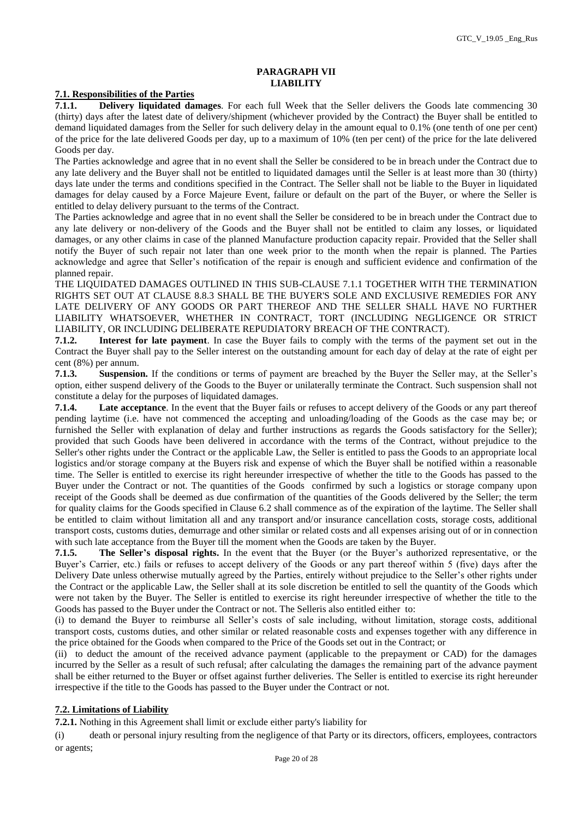### **PARAGRAPH VII LIABILITY**

#### **7.1. Responsibilities of the Parties**

**7.1.1. Delivery liquidated damages**. For each full Week that the Seller delivers the Goods late commencing 30 (thirty) days after the latest date of delivery/shipment (whichever provided by the Contract) the Buyer shall be entitled to demand liquidated damages from the Seller for such delivery delay in the amount equal to 0.1% (one tenth of one per cent) of the price for the late delivered Goods per day, up to a maximum of 10% (ten per cent) of the price for the late delivered Goods per day.

The Parties acknowledge and agree that in no event shall the Seller be considered to be in breach under the Contract due to any late delivery and the Buyer shall not be entitled to liquidated damages until the Seller is at least more than 30 (thirty) days late under the terms and conditions specified in the Contract. The Seller shall not be liable to the Buyer in liquidated damages for delay caused by a Force Majeure Event, failure or default on the part of the Buyer, or where the Seller is entitled to delay delivery pursuant to the terms of the Contract.

The Parties acknowledge and agree that in no event shall the Seller be considered to be in breach under the Contract due to any late delivery or non-delivery of the Goods and the Buyer shall not be entitled to claim any losses, or liquidated damages, or any other claims in case of the planned Manufacture production capacity repair. Provided that the Seller shall notify the Buyer of such repair not later than one week prior to the month when the repair is planned. The Parties acknowledge and agree that Seller's notification of the repair is enough and sufficient evidence and confirmation of the planned repair.

THE LIQUIDATED DAMAGES OUTLINED IN THIS SUB-CLAUSE 7.1.1 TOGETHER WITH THE TERMINATION RIGHTS SET OUT AT CLAUSE 8.8.3 SHALL BE THE BUYER'S SOLE AND EXCLUSIVE REMEDIES FOR ANY LATE DELIVERY OF ANY GOODS OR PART THEREOF AND THE SELLER SHALL HAVE NO FURTHER LIABILITY WHATSOEVER, WHETHER IN CONTRACT, TORT (INCLUDING NEGLIGENCE OR STRICT LIABILITY, OR INCLUDING DELIBERATE REPUDIATORY BREACH OF THE CONTRACT).

**7.1.2. Interest for late payment**. In case the Buyer fails to comply with the terms of the payment set out in the Contract the Buyer shall pay to the Seller interest on the outstanding amount for each day of delay at the rate of eight per cent (8%) per annum.

**7.1.3. Suspension.** If the conditions or terms of payment are breached by the Buyer the Seller may, at the Seller's option, either suspend delivery of the Goods to the Buyer or unilaterally terminate the Contract. Such suspension shall not constitute a delay for the purposes of liquidated damages.

**7.1.4. Late acceptance**. In the event that the Buyer fails or refuses to accept delivery of the Goods or any part thereof pending laytime (i.e. have not commenced the accepting and unloading/loading of the Goods as the case may be; or furnished the Seller with explanation of delay and further instructions as regards the Goods satisfactory for the Seller); provided that such Goods have been delivered in accordance with the terms of the Contract, without prejudice to the Seller's other rights under the Contract or the applicable Law, the Seller is entitled to pass the Goods to an appropriate local logistics and/or storage company at the Buyers risk and expense of which the Buyer shall be notified within a reasonable time. The Seller is entitled to exercise its right hereunder irrespective of whether the title to the Goods has passed to the Buyer under the Contract or not. The quantities of the Goods confirmed by such a logistics or storage company upon receipt of the Goods shall be deemed as due confirmation of the quantities of the Goods delivered by the Seller; the term for quality claims for the Goods specified in Clause 6.2 shall commence as of the expiration of the laytime. The Seller shall be entitled to claim without limitation all and any transport and/or insurance cancellation costs, storage costs, additional transport costs, customs duties, demurrage and other similar or related costs and all expenses arising out of or in connection with such late acceptance from the Buyer till the moment when the Goods are taken by the Buyer.

**7.1.5. The Seller's disposal rights.** In the event that the Buyer (or the Buyer's authorized representative, or the Buyer's Carrier, etc.) fails or refuses to accept delivery of the Goods or any part thereof within 5 (five) days after the Delivery Date unless otherwise mutually agreed by the Parties, entirely without prejudice to the Seller's other rights under the Contract or the applicable Law, the Seller shall at its sole discretion be entitled to sell the quantity of the Goods which were not taken by the Buyer. The Seller is entitled to exercise its right hereunder irrespective of whether the title to the Goods has passed to the Buyer under the Contract or not. The Selleris also entitled either to:

(i) to demand the Buyer to reimburse all Seller's costs of sale including, without limitation, storage costs, additional transport costs, customs duties, and other similar or related reasonable costs and expenses together with any difference in the price obtained for the Goods when compared to the Price of the Goods set out in the Contract; or

(ii) to deduct the amount of the received advance payment (applicable to the prepayment or CAD) for the damages incurred by the Seller as a result of such refusal; after calculating the damages the remaining part of the advance payment shall be either returned to the Buyer or offset against further deliveries. The Seller is entitled to exercise its right hereunder irrespective if the title to the Goods has passed to the Buyer under the Contract or not.

### **7.2. Limitations of Liability**

**7.2.1.** Nothing in this Agreement shall limit or exclude either party's liability for

(i) death or personal injury resulting from the negligence of that Party or its directors, officers, employees, contractors or agents;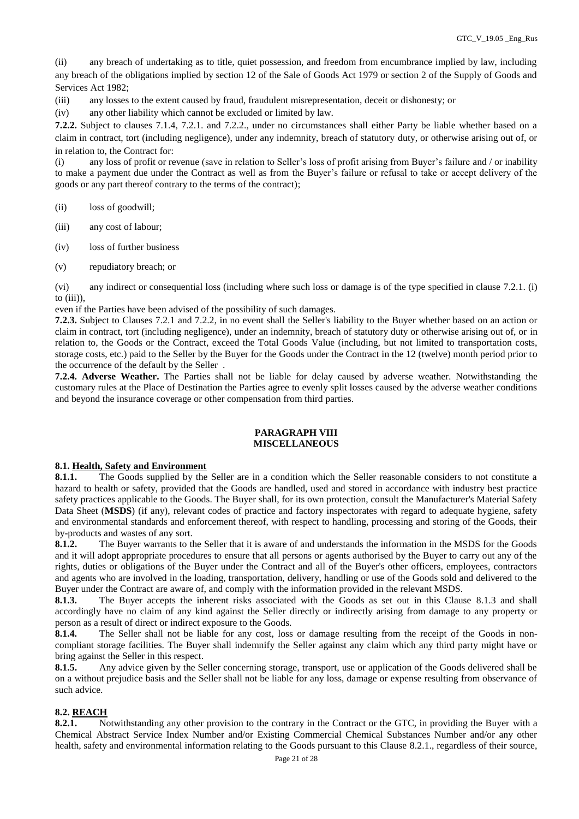(ii) any breach of undertaking as to title, quiet possession, and freedom from encumbrance implied by law, including any breach of the obligations implied by section 12 of the Sale of Goods Act 1979 or section 2 of the Supply of Goods and Services Act 1982;

(iii) any losses to the extent caused by fraud, fraudulent misrepresentation, deceit or dishonesty; or

(iv) any other liability which cannot be excluded or limited by law.

**7.2.2.** Subject to clauses 7.1.4, 7.2.1. and 7.2.2., under no circumstances shall either Party be liable whether based on a claim in contract, tort (including negligence), under any indemnity, breach of statutory duty, or otherwise arising out of, or in relation to, the Contract for:

(i) any loss of profit or revenue (save in relation to Seller's loss of profit arising from Buyer's failure and / or inability to make a payment due under the Contract as well as from the Buyer's failure or refusal to take or accept delivery of the goods or any part thereof contrary to the terms of the contract);

(ii) loss of goodwill;

- (iii) any cost of labour;
- (iv) loss of further business
- (v) repudiatory breach; or

(vi) any indirect or consequential loss (including where such loss or damage is of the type specified in clause 7.2.1. (i) to  $(iii)$ ),

even if the Parties have been advised of the possibility of such damages.

**7.2.3.** Subject to Clauses 7.2.1 and 7.2.2, in no event shall the Seller's liability to the Buyer whether based on an action or claim in contract, tort (including negligence), under an indemnity, breach of statutory duty or otherwise arising out of, or in relation to, the Goods or the Contract, exceed the Total Goods Value (including, but not limited to transportation costs, storage costs, etc.) paid to the Seller by the Buyer for the Goods under the Contract in the 12 (twelve) month period prior to the occurrence of the default by the Seller .

**7.2.4. Adverse Weather.** The Parties shall not be liable for delay caused by adverse weather. Notwithstanding the customary rules at the Place of Destination the Parties agree to evenly split losses caused by the adverse weather conditions and beyond the insurance coverage or other compensation from third parties.

#### **PARAGRAPH VIII MISCELLANEOUS**

#### **8.1. Health, Safety and Environment**

**8.1.1.** The Goods supplied by the Seller are in a condition which the Seller reasonable considers to not constitute a hazard to health or safety, provided that the Goods are handled, used and stored in accordance with industry best practice safety practices applicable to the Goods. The Buyer shall, for its own protection, consult the Manufacturer's Material Safety Data Sheet (**MSDS**) (if any), relevant codes of practice and factory inspectorates with regard to adequate hygiene, safety and environmental standards and enforcement thereof, with respect to handling, processing and storing of the Goods, their by-products and wastes of any sort.

**8.1.2.** The Buyer warrants to the Seller that it is aware of and understands the information in the MSDS for the Goods and it will adopt appropriate procedures to ensure that all persons or agents authorised by the Buyer to carry out any of the rights, duties or obligations of the Buyer under the Contract and all of the Buyer's other officers, employees, contractors and agents who are involved in the loading, transportation, delivery, handling or use of the Goods sold and delivered to the Buyer under the Contract are aware of, and comply with the information provided in the relevant MSDS.

**8.1.3.** The Buyer accepts the inherent risks associated with the Goods as set out in this Clause 8.1.3 and shall accordingly have no claim of any kind against the Seller directly or indirectly arising from damage to any property or person as a result of direct or indirect exposure to the Goods.

**8.1.4.** The Seller shall not be liable for any cost, loss or damage resulting from the receipt of the Goods in noncompliant storage facilities. The Buyer shall indemnify the Seller against any claim which any third party might have or bring against the Seller in this respect.

**8.1.5.** Any advice given by the Seller concerning storage, transport, use or application of the Goods delivered shall be on a without prejudice basis and the Seller shall not be liable for any loss, damage or expense resulting from observance of such advice.

### **8.2. REACH**

**8.2.1.** Notwithstanding any other provision to the contrary in the Contract or the GTC, in providing the Buyer with a Chemical Abstract Service Index Number and/or Existing Commercial Chemical Substances Number and/or any other health, safety and environmental information relating to the Goods pursuant to this Clause 8.2.1., regardless of their source,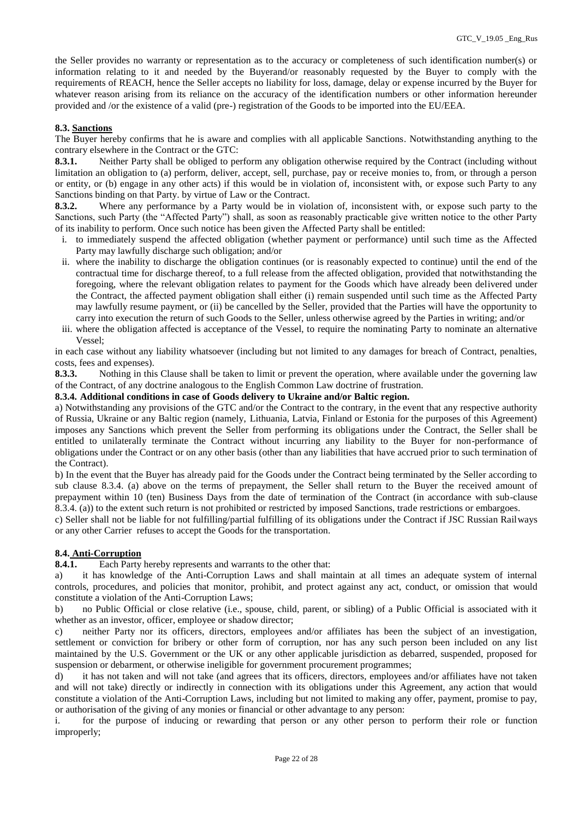the Seller provides no warranty or representation as to the accuracy or completeness of such identification number(s) or information relating to it and needed by the Buyerand/or reasonably requested by the Buyer to comply with the requirements of REACH, hence the Seller accepts no liability for loss, damage, delay or expense incurred by the Buyer for whatever reason arising from its reliance on the accuracy of the identification numbers or other information hereunder provided and /or the existence of a valid (pre-) registration of the Goods to be imported into the EU/EEA.

# **8.3. Sanctions**

The Buyer hereby confirms that he is aware and complies with all applicable Sanctions. Notwithstanding anything to the contrary elsewhere in the Contract or the GTC:

**8.3.1.** Neither Party shall be obliged to perform any obligation otherwise required by the Contract (including without limitation an obligation to (a) perform, deliver, accept, sell, purchase, pay or receive monies to, from, or through a person or entity, or (b) engage in any other acts) if this would be in violation of, inconsistent with, or expose such Party to any Sanctions binding on that Party. by virtue of Law or the Contract.

**8.3.2.** Where any performance by a Party would be in violation of, inconsistent with, or expose such party to the Sanctions, such Party (the "Affected Party") shall, as soon as reasonably practicable give written notice to the other Party of its inability to perform. Once such notice has been given the Affected Party shall be entitled:

- i. to immediately suspend the affected obligation (whether payment or performance) until such time as the Affected Party may lawfully discharge such obligation; and/or
- ii. where the inability to discharge the obligation continues (or is reasonably expected to continue) until the end of the contractual time for discharge thereof, to a full release from the affected obligation, provided that notwithstanding the foregoing, where the relevant obligation relates to payment for the Goods which have already been delivered under the Contract, the affected payment obligation shall either (i) remain suspended until such time as the Affected Party may lawfully resume payment, or (ii) be cancelled by the Seller, provided that the Parties will have the opportunity to carry into execution the return of such Goods to the Seller, unless otherwise agreed by the Parties in writing; and/or
- iii. where the obligation affected is acceptance of the Vessel, to require the nominating Party to nominate an alternative Vessel;

in each case without any liability whatsoever (including but not limited to any damages for breach of Contract, penalties, costs, fees and expenses).

**8.3.3.** Nothing in this Clause shall be taken to limit or prevent the operation, where available under the governing law of the Contract, of any doctrine analogous to the English Common Law doctrine of frustration.

### **8.3.4. Additional conditions in case of Goods delivery to Ukraine and/or Baltic region.**

a) Notwithstanding any provisions of the GTC and/or the Contract to the contrary, in the event that any respective authority of Russia, Ukraine or any Baltic region (namely, Lithuania, Latvia, Finland or Estonia for the purposes of this Agreement) imposes any Sanctions which prevent the Seller from performing its obligations under the Contract, the Seller shall be entitled to unilaterally terminate the Contract without incurring any liability to the Buyer for non-performance of obligations under the Contract or on any other basis (other than any liabilities that have accrued prior to such termination of the Contract).

b) In the event that the Buyer has already paid for the Goods under the Contract being terminated by the Seller according to sub clause 8.3.4. (a) above on the terms of prepayment, the Seller shall return to the Buyer the received amount of prepayment within 10 (ten) Business Days from the date of termination of the Contract (in accordance with sub-clause 8.3.4. (a)) to the extent such return is not prohibited or restricted by imposed Sanctions, trade restrictions or embargoes.

c) Seller shall not be liable for not fulfilling/partial fulfilling of its obligations under the Contract if JSC Russian Railways or any other Carrier refuses to accept the Goods for the transportation.

# **8.4. Anti-Corruption**

**8.4.1.** Each Party hereby represents and warrants to the other that:

a) it has knowledge of the Anti-Corruption Laws and shall maintain at all times an adequate system of internal controls, procedures, and policies that monitor, prohibit, and protect against any act, conduct, or omission that would constitute a violation of the Anti-Corruption Laws;

b) no Public Official or close relative (i.e., spouse, child, parent, or sibling) of a Public Official is associated with it whether as an investor, officer, employee or shadow director;

c) neither Party nor its officers, directors, employees and/or affiliates has been the subject of an investigation, settlement or conviction for bribery or other form of corruption, nor has any such person been included on any list maintained by the U.S. Government or the UK or any other applicable jurisdiction as debarred, suspended, proposed for suspension or debarment, or otherwise ineligible for government procurement programmes;

d) it has not taken and will not take (and agrees that its officers, directors, employees and/or affiliates have not taken and will not take) directly or indirectly in connection with its obligations under this Agreement, any action that would constitute a violation of the Anti-Corruption Laws, including but not limited to making any offer, payment, promise to pay, or authorisation of the giving of any monies or financial or other advantage to any person:

i. for the purpose of inducing or rewarding that person or any other person to perform their role or function improperly;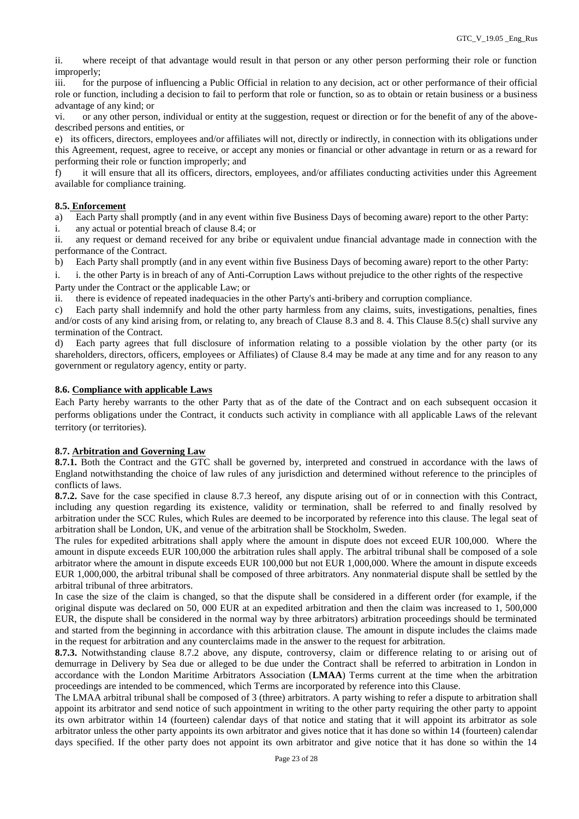ii. where receipt of that advantage would result in that person or any other person performing their role or function improperly;

iii. for the purpose of influencing a Public Official in relation to any decision, act or other performance of their official role or function, including a decision to fail to perform that role or function, so as to obtain or retain business or a business advantage of any kind; or

vi. or any other person, individual or entity at the suggestion, request or direction or for the benefit of any of the abovedescribed persons and entities, or

e) its officers, directors, employees and/or affiliates will not, directly or indirectly, in connection with its obligations under this Agreement, request, agree to receive, or accept any monies or financial or other advantage in return or as a reward for performing their role or function improperly; and

f) it will ensure that all its officers, directors, employees, and/or affiliates conducting activities under this Agreement available for compliance training.

#### **8.5. Enforcement**

a) Each Party shall promptly (and in any event within five Business Days of becoming aware) report to the other Party:

i. any actual or potential breach of clause 8.4; or

ii. any request or demand received for any bribe or equivalent undue financial advantage made in connection with the performance of the Contract.

b) Each Party shall promptly (and in any event within five Business Days of becoming aware) report to the other Party:

i. i. the other Party is in breach of any of Anti-Corruption Laws without prejudice to the other rights of the respective Party under the Contract or the applicable Law; or

ii. there is evidence of repeated inadequacies in the other Party's anti-bribery and corruption compliance.

c) Each party shall indemnify and hold the other party harmless from any claims, suits, investigations, penalties, fines and/or costs of any kind arising from, or relating to, any breach of Clause 8.3 and 8. 4. This Clause 8.5(c) shall survive any termination of the Contract.

d) Each party agrees that full disclosure of information relating to a possible violation by the other party (or its shareholders, directors, officers, employees or Affiliates) of Clause 8.4 may be made at any time and for any reason to any government or regulatory agency, entity or party.

### **8.6. Compliance with applicable Laws**

Each Party hereby warrants to the other Party that as of the date of the Contract and on each subsequent occasion it performs obligations under the Contract, it conducts such activity in compliance with all applicable Laws of the relevant territory (or territories).

# **8.7. Arbitration and Governing Law**

**8.7.1.** Both the Contract and the GTC shall be governed by, interpreted and construed in accordance with the laws of England notwithstanding the choice of law rules of any jurisdiction and determined without reference to the principles of conflicts of laws.

**8.7.2.** Save for the case specified in clause 8.7.3 hereof, any dispute arising out of or in connection with this Contract, including any question regarding its existence, validity or termination, shall be referred to and finally resolved by arbitration under the SCC Rules, which Rules are deemed to be incorporated by reference into this clause. The legal seat of arbitration shall be London, UK, and venue of the arbitration shall be Stockholm, Sweden.

The rules for expedited arbitrations shall apply where the amount in dispute does not exceed EUR 100,000. Where the amount in dispute exceeds EUR 100,000 the arbitration rules shall apply. The arbitral tribunal shall be composed of a sole arbitrator where the amount in dispute exceeds EUR 100,000 but not EUR 1,000,000. Where the amount in dispute exceeds EUR 1,000,000, the arbitral tribunal shall be composed of three arbitrators. Any nonmaterial dispute shall be settled by the arbitral tribunal of three arbitrators.

In case the size of the claim is changed, so that the dispute shall be considered in a different order (for example, if the original dispute was declared on 50, 000 EUR at an expedited arbitration and then the claim was increased to 1, 500,000 EUR, the dispute shall be considered in the normal way by three arbitrators) arbitration proceedings should be terminated and started from the beginning in accordance with this arbitration clause. The amount in dispute includes the claims made in the request for arbitration and any counterclaims made in the answer to the request for arbitration.

**8.7.3.** Notwithstanding clause 8.7.2 above, any dispute, controversy, claim or difference relating to or arising out of demurrage in Delivery by Sea due or alleged to be due under the Contract shall be referred to arbitration in London in accordance with the London Maritime Arbitrators Association (**LMAA**) Terms current at the time when the arbitration proceedings are intended to be commenced, which Terms are incorporated by reference into this Clause.

The LMAA arbitral tribunal shall be composed of 3 (three) arbitrators. A party wishing to refer a dispute to arbitration shall appoint its arbitrator and send notice of such appointment in writing to the other party requiring the other party to appoint its own arbitrator within 14 (fourteen) calendar days of that notice and stating that it will appoint its arbitrator as sole arbitrator unless the other party appoints its own arbitrator and gives notice that it has done so within 14 (fourteen) calendar days specified. If the other party does not appoint its own arbitrator and give notice that it has done so within the 14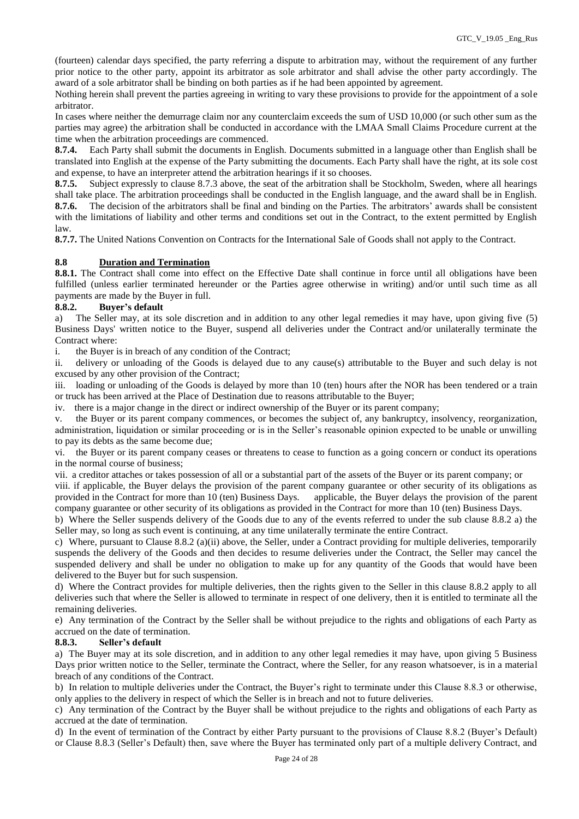(fourteen) calendar days specified, the party referring a dispute to arbitration may, without the requirement of any further prior notice to the other party, appoint its arbitrator as sole arbitrator and shall advise the other party accordingly. The award of a sole arbitrator shall be binding on both parties as if he had been appointed by agreement.

Nothing herein shall prevent the parties agreeing in writing to vary these provisions to provide for the appointment of a sole arbitrator.

In cases where neither the demurrage claim nor any counterclaim exceeds the sum of USD 10,000 (or such other sum as the parties may agree) the arbitration shall be conducted in accordance with the LMAA Small Claims Procedure current at the time when the arbitration proceedings are commenced.

**8.7.4.** Each Party shall submit the documents in English. Documents submitted in a language other than English shall be translated into English at the expense of the Party submitting the documents. Each Party shall have the right, at its sole cost and expense, to have an interpreter attend the arbitration hearings if it so chooses.

**8.7.5.** Subject expressly to clause 8.7.3 above, the seat of the arbitration shall be Stockholm, Sweden, where all hearings shall take place. The arbitration proceedings shall be conducted in the English language, and the award shall be in English. **8.7.6.** The decision of the arbitrators shall be final and binding on the Parties. The arbitrators' awards shall be consistent with the limitations of liability and other terms and conditions set out in the Contract, to the extent permitted by English law.

**8.7.7.** The United Nations Convention on Contracts for the International Sale of Goods shall not apply to the Contract.

# **8.8 Duration and Termination**

**8.8.1.** The Contract shall come into effect on the Effective Date shall continue in force until all obligations have been fulfilled (unless earlier terminated hereunder or the Parties agree otherwise in writing) and/or until such time as all payments are made by the Buyer in full.

# **8.8.2. Buyer's default**

a) The Seller may, at its sole discretion and in addition to any other legal remedies it may have, upon giving five (5) Business Days' written notice to the Buyer, suspend all deliveries under the Contract and/or unilaterally terminate the Contract where:

i. the Buyer is in breach of any condition of the Contract;

ii. delivery or unloading of the Goods is delayed due to any cause(s) attributable to the Buyer and such delay is not excused by any other provision of the Contract;

iii. loading or unloading of the Goods is delayed by more than 10 (ten) hours after the NOR has been tendered or a train or truck has been arrived at the Place of Destination due to reasons attributable to the Buyer;

iv. there is a major change in the direct or indirect ownership of the Buyer or its parent company;

v. the Buyer or its parent company commences, or becomes the subject of, any bankruptcy, insolvency, reorganization, administration, liquidation or similar proceeding or is in the Seller's reasonable opinion expected to be unable or unwilling to pay its debts as the same become due;

vi. the Buyer or its parent company ceases or threatens to cease to function as a going concern or conduct its operations in the normal course of business;

vii. a creditor attaches or takes possession of all or a substantial part of the assets of the Buyer or its parent company; or

viii. if applicable, the Buyer delays the provision of the parent company guarantee or other security of its obligations as provided in the Contract for more than 10 (ten) Business Days. applicable, the Buyer delays the provision of the parent company guarantee or other security of its obligations as provided in the Contract for more than 10 (ten) Business Days.

b) Where the Seller suspends delivery of the Goods due to any of the events referred to under the sub clause 8.8.2 a) the Seller may, so long as such event is continuing, at any time unilaterally terminate the entire Contract.

c) Where, pursuant to Clause 8.8.2 (a)(ii) above, the Seller, under a Contract providing for multiple deliveries, temporarily suspends the delivery of the Goods and then decides to resume deliveries under the Contract, the Seller may cancel the suspended delivery and shall be under no obligation to make up for any quantity of the Goods that would have been delivered to the Buyer but for such suspension.

d) Where the Contract provides for multiple deliveries, then the rights given to the Seller in this clause 8.8.2 apply to all deliveries such that where the Seller is allowed to terminate in respect of one delivery, then it is entitled to terminate all the remaining deliveries.

e) Any termination of the Contract by the Seller shall be without prejudice to the rights and obligations of each Party as accrued on the date of termination.

# **8.8.3. Seller's default**

a) The Buyer may at its sole discretion, and in addition to any other legal remedies it may have, upon giving 5 Business Days prior written notice to the Seller, terminate the Contract, where the Seller, for any reason whatsoever, is in a material breach of any conditions of the Contract.

b) In relation to multiple deliveries under the Contract, the Buyer's right to terminate under this Clause 8.8.3 or otherwise, only applies to the delivery in respect of which the Seller is in breach and not to future deliveries.

c) Any termination of the Contract by the Buyer shall be without prejudice to the rights and obligations of each Party as accrued at the date of termination.

d) In the event of termination of the Contract by either Party pursuant to the provisions of Clause 8.8.2 (Buyer's Default) or Clause 8.8.3 (Seller's Default) then, save where the Buyer has terminated only part of a multiple delivery Contract, and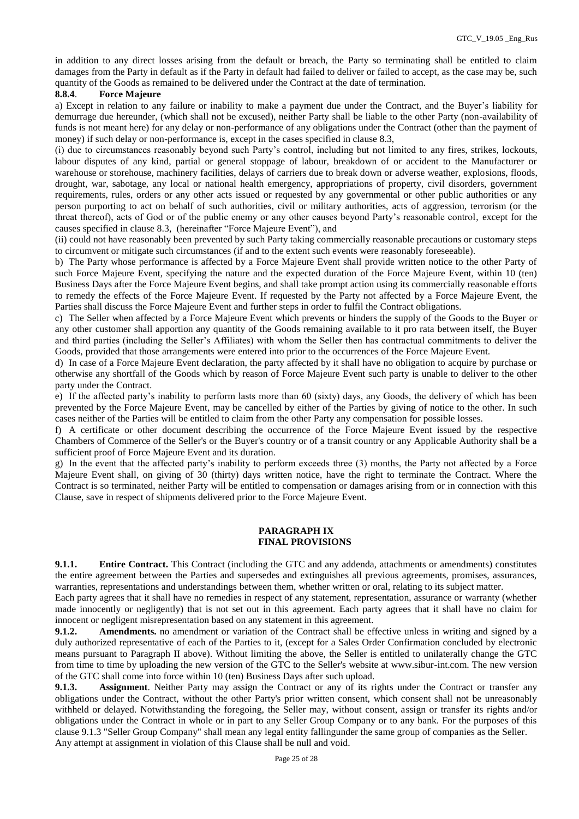in addition to any direct losses arising from the default or breach, the Party so terminating shall be entitled to claim damages from the Party in default as if the Party in default had failed to deliver or failed to accept, as the case may be, such quantity of the Goods as remained to be delivered under the Contract at the date of termination.

### **8.8.4**. **Force Majeure**

a) Except in relation to any failure or inability to make a payment due under the Contract, and the Buyer's liability for demurrage due hereunder, (which shall not be excused), neither Party shall be liable to the other Party (non-availability of funds is not meant here) for any delay or non-performance of any obligations under the Contract (other than the payment of money) if such delay or non-performance is, except in the cases specified in clause 8.3,

(i) due to circumstances reasonably beyond such Party's control, including but not limited to any fires, strikes, lockouts, labour disputes of any kind, partial or general stoppage of labour, breakdown of or accident to the Manufacturer or warehouse or storehouse, machinery facilities, delays of carriers due to break down or adverse weather, explosions, floods, drought, war, sabotage, any local or national health emergency, appropriations of property, civil disorders, government requirements, rules, orders or any other acts issued or requested by any governmental or other public authorities or any person purporting to act on behalf of such authorities, civil or military authorities, acts of aggression, terrorism (or the threat thereof), acts of God or of the public enemy or any other causes beyond Party's reasonable control, except for the causes specified in clause 8.3, (hereinafter "Force Majeure Event"), and

(ii) could not have reasonably been prevented by such Party taking commercially reasonable precautions or customary steps to circumvent or mitigate such circumstances (if and to the extent such events were reasonably foreseeable).

b) The Party whose performance is affected by a Force Majeure Event shall provide written notice to the other Party of such Force Majeure Event, specifying the nature and the expected duration of the Force Majeure Event, within 10 (ten) Business Days after the Force Majeure Event begins, and shall take prompt action using its commercially reasonable efforts to remedy the effects of the Force Majeure Event. If requested by the Party not affected by a Force Majeure Event, the Parties shall discuss the Force Majeure Event and further steps in order to fulfil the Contract obligations.

c) The Seller when affected by a Force Majeure Event which prevents or hinders the supply of the Goods to the Buyer or any other customer shall apportion any quantity of the Goods remaining available to it pro rata between itself, the Buyer and third parties (including the Seller's Affiliates) with whom the Seller then has contractual commitments to deliver the Goods, provided that those arrangements were entered into prior to the occurrences of the Force Majeure Event.

d) In case of a Force Majeure Event declaration, the party affected by it shall have no obligation to acquire by purchase or otherwise any shortfall of the Goods which by reason of Force Majeure Event such party is unable to deliver to the other party under the Contract.

e) If the affected party's inability to perform lasts more than 60 (sixty) days, any Goods, the delivery of which has been prevented by the Force Majeure Event, may be cancelled by either of the Parties by giving of notice to the other. In such cases neither of the Parties will be entitled to claim from the other Party any compensation for possible losses.

f) A certificate or other document describing the occurrence of the Force Majeure Event issued by the respective Chambers of Commerce of the Seller's or the Buyer's country or of a transit country or any Applicable Authority shall be a sufficient proof of Force Majeure Event and its duration.

g) In the event that the affected party's inability to perform exceeds three (3) months, the Party not affected by a Force Majeure Event shall, on giving of 30 (thirty) days written notice, have the right to terminate the Contract. Where the Contract is so terminated, neither Party will be entitled to compensation or damages arising from or in connection with this Clause, save in respect of shipments delivered prior to the Force Majeure Event.

# **PARAGRAPH IX FINAL PROVISIONS**

**9.1.1. Entire Contract.** This Contract (including the GTC and any addenda, attachments or amendments) constitutes the entire agreement between the Parties and supersedes and extinguishes all previous agreements, promises, assurances, warranties, representations and understandings between them, whether written or oral, relating to its subject matter.

Each party agrees that it shall have no remedies in respect of any statement, representation, assurance or warranty (whether made innocently or negligently) that is not set out in this agreement. Each party agrees that it shall have no claim for innocent or negligent misrepresentation based on any statement in this agreement.

**9.1.2. Amendments.** no amendment or variation of the Contract shall be effective unless in writing and signed by a duly authorized representative of each of the Parties to it, (except for a Sales Order Confirmation concluded by electronic means pursuant to Paragraph II above). Without limiting the above, the Seller is entitled to unilaterally change the GTC from time to time by uploading the new version of the GTC to the Seller's website at www.sibur-int.com. The new version of the GTC shall come into force within 10 (ten) Business Days after such upload.

**9.1.3. Assignment**. Neither Party may assign the Contract or any of its rights under the Contract or transfer any obligations under the Contract, without the other Party's prior written consent, which consent shall not be unreasonably withheld or delayed. Notwithstanding the foregoing, the Seller may, without consent, assign or transfer its rights and/or obligations under the Contract in whole or in part to any Seller Group Company or to any bank. For the purposes of this clause 9.1.3 "Seller Group Company" shall mean any legal entity fallingunder the same group of companies as the Seller. Any attempt at assignment in violation of this Clause shall be null and void.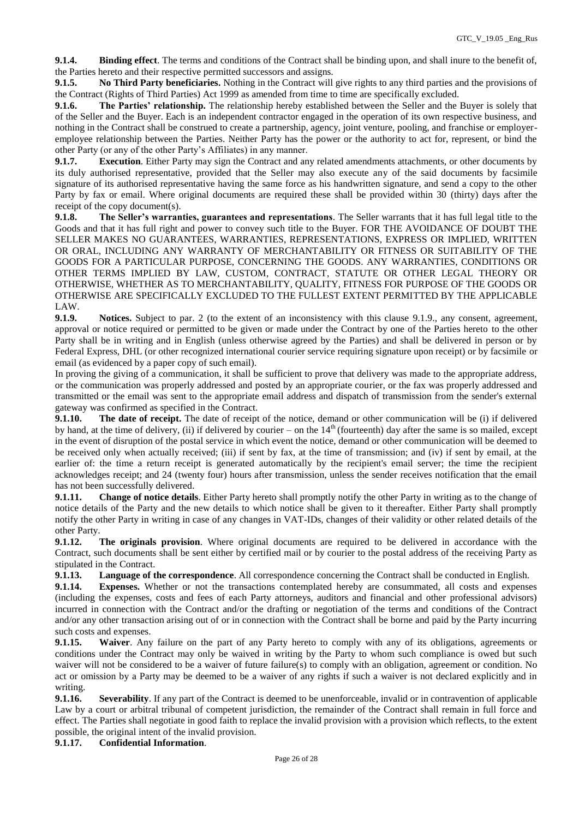**9.1.4. Binding effect**. The terms and conditions of the Contract shall be binding upon, and shall inure to the benefit of, the Parties hereto and their respective permitted successors and assigns.

**9.1.5. No Third Party beneficiaries.** Nothing in the Contract will give rights to any third parties and the provisions of the Contract (Rights of Third Parties) Act 1999 as amended from time to time are specifically excluded.

**9.1.6. The Parties' relationship.** The relationship hereby established between the Seller and the Buyer is solely that of the Seller and the Buyer. Each is an independent contractor engaged in the operation of its own respective business, and nothing in the Contract shall be construed to create a partnership, agency, joint venture, pooling, and franchise or employeremployee relationship between the Parties. Neither Party has the power or the authority to act for, represent, or bind the other Party (or any of the other Party's Affiliates) in any manner.

**9.1.7. Execution**. Either Party may sign the Contract and any related amendments attachments, or other documents by its duly authorised representative, provided that the Seller may also execute any of the said documents by facsimile signature of its authorised representative having the same force as his handwritten signature, and send a copy to the other Party by fax or email. Where original documents are required these shall be provided within 30 (thirty) days after the receipt of the copy document(s).

**9.1.8. The Seller's warranties, guarantees and representations**. The Seller warrants that it has full legal title to the Goods and that it has full right and power to convey such title to the Buyer. FOR THE AVOIDANCE OF DOUBT THE SELLER MAKES NO GUARANTEES, WARRANTIES, REPRESENTATIONS, EXPRESS OR IMPLIED, WRITTEN OR ORAL, INCLUDING ANY WARRANTY OF MERCHANTABILITY OR FITNESS OR SUITABILITY OF THE GOODS FOR A PARTICULAR PURPOSE, CONCERNING THE GOODS. ANY WARRANTIES, CONDITIONS OR OTHER TERMS IMPLIED BY LAW, CUSTOM, CONTRACT, STATUTE OR OTHER LEGAL THEORY OR OTHERWISE, WHETHER AS TO MERCHANTABILITY, QUALITY, FITNESS FOR PURPOSE OF THE GOODS OR OTHERWISE ARE SPECIFICALLY EXCLUDED TO THE FULLEST EXTENT PERMITTED BY THE APPLICABLE LAW.

**9.1.9. Notices.** Subject to par. 2 (to the extent of an inconsistency with this clause 9.1.9., any consent, agreement, approval or notice required or permitted to be given or made under the Contract by one of the Parties hereto to the other Party shall be in writing and in English (unless otherwise agreed by the Parties) and shall be delivered in person or by Federal Express, DHL (or other recognized international courier service requiring signature upon receipt) or by facsimile or email (as evidenced by a paper copy of such email).

In proving the giving of a communication, it shall be sufficient to prove that delivery was made to the appropriate address, or the communication was properly addressed and posted by an appropriate courier, or the fax was properly addressed and transmitted or the email was sent to the appropriate email address and dispatch of transmission from the sender's external gateway was confirmed as specified in the Contract.

**9.1.10.** The date of receipt. The date of receipt of the notice, demand or other communication will be (i) if delivered by hand, at the time of delivery, (ii) if delivered by courier – on the  $14<sup>th</sup>$  (fourteenth) day after the same is so mailed, except in the event of disruption of the postal service in which event the notice, demand or other communication will be deemed to be received only when actually received; (iii) if sent by fax, at the time of transmission; and (iv) if sent by email, at the earlier of: the time a return receipt is generated automatically by the recipient's email server; the time the recipient acknowledges receipt; and 24 (twenty four) hours after transmission, unless the sender receives notification that the email has not been successfully delivered.

**9.1.11. Change of notice details**. Either Party hereto shall promptly notify the other Party in writing as to the change of notice details of the Party and the new details to which notice shall be given to it thereafter. Either Party shall promptly notify the other Party in writing in case of any changes in VAT-IDs, changes of their validity or other related details of the other Party.

**9.1.12. The originals provision**. Where original documents are required to be delivered in accordance with the Contract, such documents shall be sent either by certified mail or by courier to the postal address of the receiving Party as stipulated in the Contract.

**9.1.13. Language of the correspondence**. All correspondence concerning the Contract shall be conducted in English.

**9.1.14. Expenses.** Whether or not the transactions contemplated hereby are consummated, all costs and expenses (including the expenses, costs and fees of each Party attorneys, auditors and financial and other professional advisors) incurred in connection with the Contract and/or the drafting or negotiation of the terms and conditions of the Contract and/or any other transaction arising out of or in connection with the Contract shall be borne and paid by the Party incurring such costs and expenses.

**9.1.15. Waiver**. Any failure on the part of any Party hereto to comply with any of its obligations, agreements or conditions under the Contract may only be waived in writing by the Party to whom such compliance is owed but such waiver will not be considered to be a waiver of future failure(s) to comply with an obligation, agreement or condition. No act or omission by a Party may be deemed to be a waiver of any rights if such a waiver is not declared explicitly and in writing.

**9.1.16. Severability**. If any part of the Contract is deemed to be unenforceable, invalid or in contravention of applicable Law by a court or arbitral tribunal of competent jurisdiction, the remainder of the Contract shall remain in full force and effect. The Parties shall negotiate in good faith to replace the invalid provision with a provision which reflects, to the extent possible, the original intent of the invalid provision.

**9.1.17. Confidential Information**.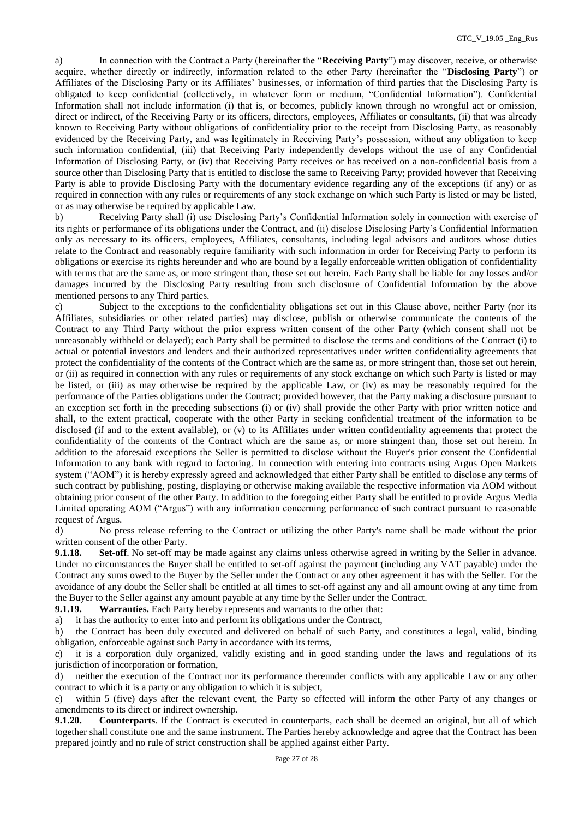a) In connection with the Contract a Party (hereinafter the "**Receiving Party**") may discover, receive, or otherwise acquire, whether directly or indirectly, information related to the other Party (hereinafter the "**Disclosing Party**") or Affiliates of the Disclosing Party or its Affiliates' businesses, or information of third parties that the Disclosing Party is obligated to keep confidential (collectively, in whatever form or medium, "Confidential Information"). Confidential Information shall not include information (i) that is, or becomes, publicly known through no wrongful act or omission, direct or indirect, of the Receiving Party or its officers, directors, employees, Affiliates or consultants, (ii) that was already known to Receiving Party without obligations of confidentiality prior to the receipt from Disclosing Party, as reasonably evidenced by the Receiving Party, and was legitimately in Receiving Party's possession, without any obligation to keep such information confidential, (iii) that Receiving Party independently develops without the use of any Confidential Information of Disclosing Party, or (iv) that Receiving Party receives or has received on a non-confidential basis from a source other than Disclosing Party that is entitled to disclose the same to Receiving Party; provided however that Receiving Party is able to provide Disclosing Party with the documentary evidence regarding any of the exceptions (if any) or as required in connection with any rules or requirements of any stock exchange on which such Party is listed or may be listed, or as may otherwise be required by applicable Law.

b) Receiving Party shall (i) use Disclosing Party's Confidential Information solely in connection with exercise of its rights or performance of its obligations under the Contract, and (ii) disclose Disclosing Party's Confidential Information only as necessary to its officers, employees, Affiliates, consultants, including legal advisors and auditors whose duties relate to the Contract and reasonably require familiarity with such information in order for Receiving Party to perform its obligations or exercise its rights hereunder and who are bound by a legally enforceable written obligation of confidentiality with terms that are the same as, or more stringent than, those set out herein. Each Party shall be liable for any losses and/or damages incurred by the Disclosing Party resulting from such disclosure of Confidential Information by the above mentioned persons to any Third parties.

c) Subject to the exceptions to the confidentiality obligations set out in this Clause above, neither Party (nor its Affiliates, subsidiaries or other related parties) may disclose, publish or otherwise communicate the contents of the Contract to any Third Party without the prior express written consent of the other Party (which consent shall not be unreasonably withheld or delayed); each Party shall be permitted to disclose the terms and conditions of the Contract (i) to actual or potential investors and lenders and their authorized representatives under written confidentiality agreements that protect the confidentiality of the contents of the Contract which are the same as, or more stringent than, those set out herein, or (ii) as required in connection with any rules or requirements of any stock exchange on which such Party is listed or may be listed, or (iii) as may otherwise be required by the applicable Law, or (iv) as may be reasonably required for the performance of the Parties obligations under the Contract; provided however, that the Party making a disclosure pursuant to an exception set forth in the preceding subsections (i) or (iv) shall provide the other Party with prior written notice and shall, to the extent practical, cooperate with the other Party in seeking confidential treatment of the information to be disclosed (if and to the extent available), or (v) to its Affiliates under written confidentiality agreements that protect the confidentiality of the contents of the Contract which are the same as, or more stringent than, those set out herein. In addition to the aforesaid exceptions the Seller is permitted to disclose without the Buyer's prior consent the Confidential Information to any bank with regard to factoring. In connection with entering into contracts using Argus Open Markets system ("AOM") it is hereby expressly agreed and acknowledged that either Party shall be entitled to disclose any terms of such contract by publishing, posting, displaying or otherwise making available the respective information via AOM without obtaining prior consent of the other Party. In addition to the foregoing either Party shall be entitled to provide Argus Media Limited operating AOM ("Argus") with any information concerning performance of such contract pursuant to reasonable request of Argus.

d) No press release referring to the Contract or utilizing the other Party's name shall be made without the prior written consent of the other Party.

**9.1.18. Set-off**. No set-off may be made against any claims unless otherwise agreed in writing by the Seller in advance. Under no circumstances the Buyer shall be entitled to set-off against the payment (including any VAT payable) under the Contract any sums owed to the Buyer by the Seller under the Contract or any other agreement it has with the Seller. For the avoidance of any doubt the Seller shall be entitled at all times to set-off against any and all amount owing at any time from the Buyer to the Seller against any amount payable at any time by the Seller under the Contract.

**9.1.19. Warranties.** Each Party hereby represents and warrants to the other that:

a) it has the authority to enter into and perform its obligations under the Contract,

b) the Contract has been duly executed and delivered on behalf of such Party, and constitutes a legal, valid, binding obligation, enforceable against such Party in accordance with its terms,

c) it is a corporation duly organized, validly existing and in good standing under the laws and regulations of its jurisdiction of incorporation or formation,

d) neither the execution of the Contract nor its performance thereunder conflicts with any applicable Law or any other contract to which it is a party or any obligation to which it is subject,

e) within 5 (five) days after the relevant event, the Party so effected will inform the other Party of any changes or amendments to its direct or indirect ownership.

**9.1.20. Counterparts**. If the Contract is executed in counterparts, each shall be deemed an original, but all of which together shall constitute one and the same instrument. The Parties hereby acknowledge and agree that the Contract has been prepared jointly and no rule of strict construction shall be applied against either Party.